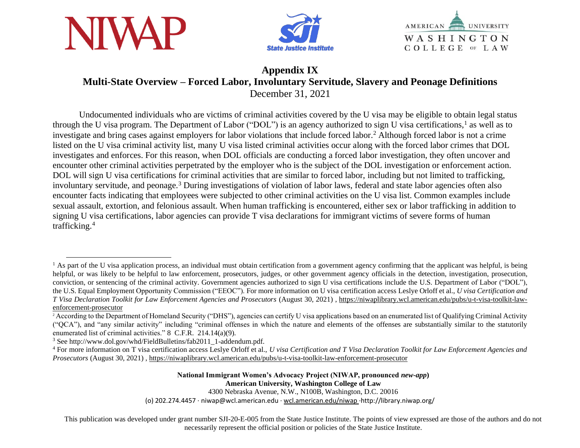



AMERICAN **UNIVERSITY** WASHINGTON **COLLEGE OF LAW** 

## **Appendix IX Multi-State Overview – Forced Labor, Involuntary Servitude, Slavery and Peonage Definitions** December 31, 2021

Undocumented individuals who are victims of criminal activities covered by the U visa may be eligible to obtain legal status through the U visa program. The Department of Labor ("DOL") is an agency authorized to sign U visa certifications,<sup>1</sup> as well as to investigate and bring cases against employers for labor violations that include forced labor.<sup>2</sup> Although forced labor is not a crime listed on the U visa criminal activity list, many U visa listed criminal activities occur along with the forced labor crimes that DOL investigates and enforces. For this reason, when DOL officials are conducting a forced labor investigation, they often uncover and encounter other criminal activities perpetrated by the employer who is the subject of the DOL investigation or enforcement action. DOL will sign U visa certifications for criminal activities that are similar to forced labor, including but not limited to trafficking, involuntary servitude, and peonage.<sup>3</sup> During investigations of violation of labor laws, federal and state labor agencies often also encounter facts indicating that employees were subjected to other criminal activities on the U visa list. Common examples include sexual assault, extortion, and felonious assault. When human trafficking is encountered, either sex or labor trafficking in addition to signing U visa certifications, labor agencies can provide T visa declarations for immigrant victims of severe forms of human trafficking.<sup>4</sup>

## **National Immigrant Women's Advocacy Project (NIWAP, pronounced** *new-app***) American University, Washington College of Law**

4300 Nebraska Avenue, N.W., N100B, Washington, D.C. 20016 (o) 202.274.4457 · niwap@wcl.american.edu · wcl.american.edu/niwap ·http://library.niwap.org/

This publication was developed under grant number SJI-20-E-005 from the State Justice Institute. The points of view expressed are those of the authors and do not necessarily represent the official position or policies of the State Justice Institute.

<sup>&</sup>lt;sup>1</sup> As part of the U visa application process, an individual must obtain certification from a government agency confirming that the applicant was helpful, is being helpful, or was likely to be helpful to law enforcement, prosecutors, judges, or other government agency officials in the detection, investigation, prosecution, conviction, or sentencing of the criminal activity. Government agencies authorized to sign U visa certifications include the U.S. Department of Labor ("DOL"), the U.S. Equal Employment Opportunity Commission ("EEOC"). For more information on U visa certification access Leslye Orloff et al., *U visa Certification and T Visa Declaration Toolkit for Law Enforcement Agencies and Prosecutors* (August 30, 2021) [, https://niwaplibrary.wcl.american.edu/pubs/u-t-visa-toolkit-law](https://niwaplibrary.wcl.american.edu/pubs/u-t-visa-toolkit-law-enforcement-prosecutor)[enforcement-prosecutor](https://niwaplibrary.wcl.american.edu/pubs/u-t-visa-toolkit-law-enforcement-prosecutor)

<sup>&</sup>lt;sup>2</sup> According to the Department of Homeland Security ("DHS"), agencies can certify U visa applications based on an enumerated list of Qualifying Criminal Activity ("QCA"), and "any similar activity" including "criminal offenses in which the nature and elements of the offenses are substantially similar to the statutorily enumerated list of criminal activities." 8 C.F.R. 214.14(a)(9).

<sup>3</sup> See http://www.dol.gov/whd/FieldBulletins/fab2011\_1-addendum.pdf.

<sup>4</sup> For more information on T visa certification access Leslye Orloff et al., *U visa Certification and T Visa Declaration Toolkit for Law Enforcement Agencies and Prosecutors* (August 30, 2021) , <https://niwaplibrary.wcl.american.edu/pubs/u-t-visa-toolkit-law-enforcement-prosecutor>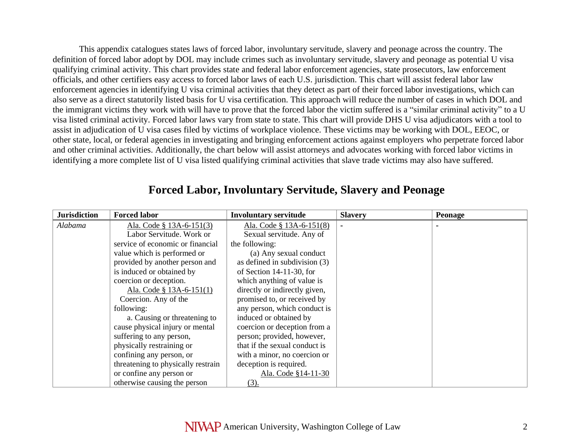This appendix catalogues states laws of forced labor, involuntary servitude, slavery and peonage across the country. The definition of forced labor adopt by DOL may include crimes such as involuntary servitude, slavery and peonage as potential U visa qualifying criminal activity. This chart provides state and federal labor enforcement agencies, state prosecutors, law enforcement officials, and other certifiers easy access to forced labor laws of each U.S. jurisdiction. This chart will assist federal labor law enforcement agencies in identifying U visa criminal activities that they detect as part of their forced labor investigations, which can also serve as a direct statutorily listed basis for U visa certification. This approach will reduce the number of cases in which DOL and the immigrant victims they work with will have to prove that the forced labor the victim suffered is a "similar criminal activity" to a U visa listed criminal activity. Forced labor laws vary from state to state. This chart will provide DHS U visa adjudicators with a tool to assist in adjudication of U visa cases filed by victims of workplace violence. These victims may be working with DOL, EEOC, or other state, local, or federal agencies in investigating and bringing enforcement actions against employers who perpetrate forced labor and other criminal activities. Additionally, the chart below will assist attorneys and advocates working with forced labor victims in identifying a more complete list of U visa listed qualifying criminal activities that slave trade victims may also have suffered.

| <b>Jurisdiction</b> | <b>Forced labor</b>                | <b>Involuntary servitude</b>    | <b>Slavery</b> | Peonage |
|---------------------|------------------------------------|---------------------------------|----------------|---------|
| Alabama             | Ala. Code § 13A-6-151(3)           | Ala. Code § 13A-6-151(8)        |                |         |
|                     | Labor Servitude. Work or           | Sexual servitude. Any of        |                |         |
|                     | service of economic or financial   | the following:                  |                |         |
|                     | value which is performed or        | (a) Any sexual conduct          |                |         |
|                     | provided by another person and     | as defined in subdivision $(3)$ |                |         |
|                     | is induced or obtained by          | of Section 14-11-30, for        |                |         |
|                     | coercion or deception.             | which anything of value is      |                |         |
|                     | Ala. Code $§$ 13A-6-151(1)         | directly or indirectly given,   |                |         |
|                     | Coercion. Any of the               | promised to, or received by     |                |         |
|                     | following:                         | any person, which conduct is    |                |         |
|                     | a. Causing or threatening to       | induced or obtained by          |                |         |
|                     | cause physical injury or mental    | coercion or deception from a    |                |         |
|                     | suffering to any person,           | person; provided, however,      |                |         |
|                     | physically restraining or          | that if the sexual conduct is   |                |         |
|                     | confining any person, or           | with a minor, no coercion or    |                |         |
|                     | threatening to physically restrain | deception is required.          |                |         |
|                     | or confine any person or           | Ala. Code §14-11-30             |                |         |
|                     | otherwise causing the person       | (3).                            |                |         |

## **Forced Labor, Involuntary Servitude, Slavery and Peonage**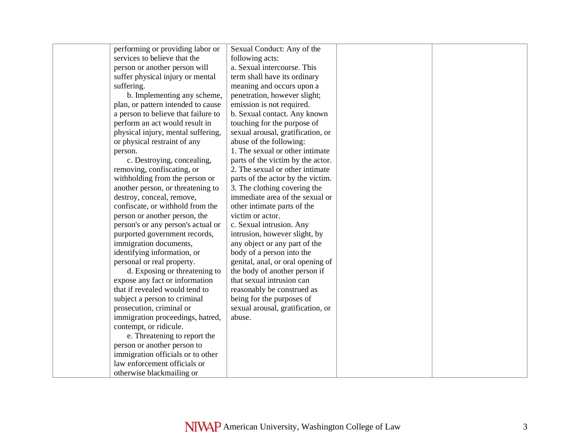| performing or providing labor or    | Sexual Conduct: Any of the        |  |
|-------------------------------------|-----------------------------------|--|
| services to believe that the        | following acts:                   |  |
| person or another person will       | a. Sexual intercourse. This       |  |
| suffer physical injury or mental    | term shall have its ordinary      |  |
| suffering.                          | meaning and occurs upon a         |  |
| b. Implementing any scheme,         | penetration, however slight;      |  |
| plan, or pattern intended to cause  | emission is not required.         |  |
| a person to believe that failure to | b. Sexual contact. Any known      |  |
| perform an act would result in      | touching for the purpose of       |  |
| physical injury, mental suffering,  | sexual arousal, gratification, or |  |
| or physical restraint of any        | abuse of the following:           |  |
| person.                             | 1. The sexual or other intimate   |  |
| c. Destroying, concealing,          | parts of the victim by the actor. |  |
| removing, confiscating, or          | 2. The sexual or other intimate   |  |
| withholding from the person or      | parts of the actor by the victim. |  |
| another person, or threatening to   | 3. The clothing covering the      |  |
| destroy, conceal, remove,           | immediate area of the sexual or   |  |
| confiscate, or withhold from the    | other intimate parts of the       |  |
| person or another person, the       | victim or actor.                  |  |
| person's or any person's actual or  | c. Sexual intrusion. Any          |  |
| purported government records,       | intrusion, however slight, by     |  |
| immigration documents,              | any object or any part of the     |  |
| identifying information, or         | body of a person into the         |  |
| personal or real property.          | genital, anal, or oral opening of |  |
| d. Exposing or threatening to       | the body of another person if     |  |
| expose any fact or information      | that sexual intrusion can         |  |
| that if revealed would tend to      | reasonably be construed as        |  |
| subject a person to criminal        | being for the purposes of         |  |
| prosecution, criminal or            | sexual arousal, gratification, or |  |
| immigration proceedings, hatred,    | abuse.                            |  |
| contempt, or ridicule.              |                                   |  |
| e. Threatening to report the        |                                   |  |
| person or another person to         |                                   |  |
| immigration officials or to other   |                                   |  |
| law enforcement officials or        |                                   |  |
| otherwise blackmailing or           |                                   |  |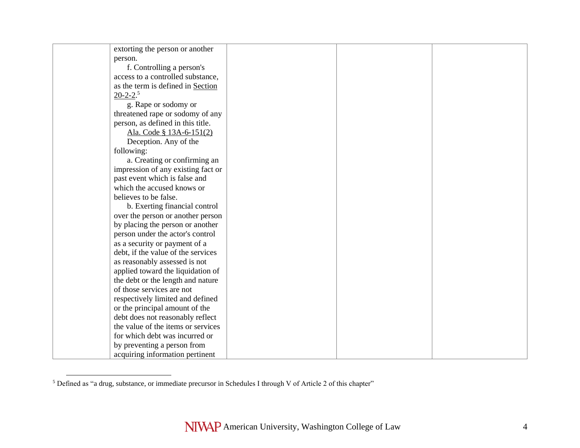| extorting the person or another    |  |  |
|------------------------------------|--|--|
| person.                            |  |  |
| f. Controlling a person's          |  |  |
| access to a controlled substance,  |  |  |
| as the term is defined in Section  |  |  |
| $20 - 2 - 2.5$                     |  |  |
| g. Rape or sodomy or               |  |  |
| threatened rape or sodomy of any   |  |  |
| person, as defined in this title.  |  |  |
| Ala. Code § 13A-6-151(2)           |  |  |
| Deception. Any of the              |  |  |
| following:                         |  |  |
| a. Creating or confirming an       |  |  |
| impression of any existing fact or |  |  |
| past event which is false and      |  |  |
| which the accused knows or         |  |  |
| believes to be false.              |  |  |
| b. Exerting financial control      |  |  |
| over the person or another person  |  |  |
| by placing the person or another   |  |  |
| person under the actor's control   |  |  |
| as a security or payment of a      |  |  |
| debt, if the value of the services |  |  |
| as reasonably assessed is not      |  |  |
| applied toward the liquidation of  |  |  |
| the debt or the length and nature  |  |  |
| of those services are not          |  |  |
| respectively limited and defined   |  |  |
| or the principal amount of the     |  |  |
| debt does not reasonably reflect   |  |  |
| the value of the items or services |  |  |
| for which debt was incurred or     |  |  |
| by preventing a person from        |  |  |
| acquiring information pertinent    |  |  |

<sup>5</sup> Defined as "a drug, substance, or immediate precursor in Schedules I through V of Article 2 of this chapter"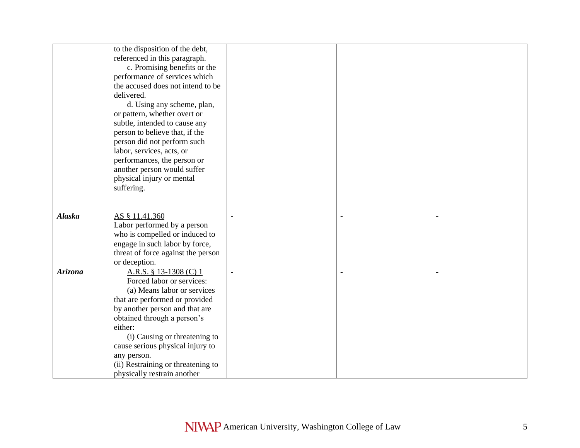|               | to the disposition of the debt,    |                |   |                |
|---------------|------------------------------------|----------------|---|----------------|
|               | referenced in this paragraph.      |                |   |                |
|               | c. Promising benefits or the       |                |   |                |
|               | performance of services which      |                |   |                |
|               | the accused does not intend to be  |                |   |                |
|               | delivered.                         |                |   |                |
|               | d. Using any scheme, plan,         |                |   |                |
|               | or pattern, whether overt or       |                |   |                |
|               | subtle, intended to cause any      |                |   |                |
|               | person to believe that, if the     |                |   |                |
|               | person did not perform such        |                |   |                |
|               | labor, services, acts, or          |                |   |                |
|               | performances, the person or        |                |   |                |
|               | another person would suffer        |                |   |                |
|               | physical injury or mental          |                |   |                |
|               | suffering.                         |                |   |                |
|               |                                    |                |   |                |
|               |                                    |                |   |                |
| <b>Alaska</b> | AS § 11.41.360                     | $\blacksquare$ |   | $\blacksquare$ |
|               | Labor performed by a person        |                |   |                |
|               | who is compelled or induced to     |                |   |                |
|               | engage in such labor by force,     |                |   |                |
|               | threat of force against the person |                |   |                |
|               | or deception.                      |                |   |                |
| Arizona       | A.R.S. § 13-1308 (C) 1             | $\blacksquare$ | ÷ | $\blacksquare$ |
|               | Forced labor or services:          |                |   |                |
|               | (a) Means labor or services        |                |   |                |
|               | that are performed or provided     |                |   |                |
|               | by another person and that are     |                |   |                |
|               | obtained through a person's        |                |   |                |
|               | either:                            |                |   |                |
|               | (i) Causing or threatening to      |                |   |                |
|               | cause serious physical injury to   |                |   |                |
|               | any person.                        |                |   |                |
|               | (ii) Restraining or threatening to |                |   |                |
|               | physically restrain another        |                |   |                |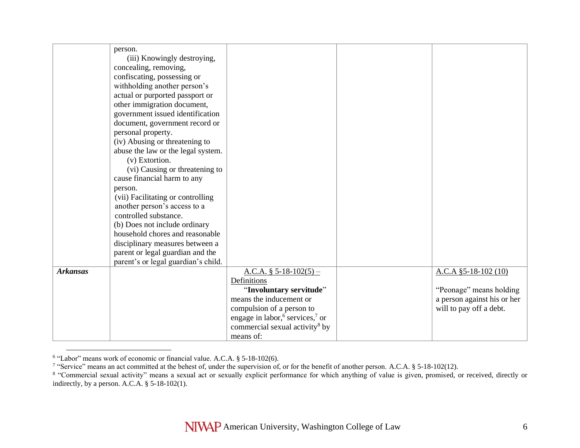|                 | person.<br>(iii) Knowingly destroying,<br>concealing, removing,<br>confiscating, possessing or<br>withholding another person's<br>actual or purported passport or<br>other immigration document,<br>government issued identification<br>document, government record or<br>personal property.<br>(iv) Abusing or threatening to<br>abuse the law or the legal system.<br>(v) Extortion.<br>(vi) Causing or threatening to<br>cause financial harm to any<br>person.<br>(vii) Facilitating or controlling<br>another person's access to a<br>controlled substance.<br>(b) Does not include ordinary<br>household chores and reasonable<br>disciplinary measures between a<br>parent or legal guardian and the<br>parent's or legal guardian's child. |                                                                                                                                                                                                                                                  |                                                                                                             |
|-----------------|----------------------------------------------------------------------------------------------------------------------------------------------------------------------------------------------------------------------------------------------------------------------------------------------------------------------------------------------------------------------------------------------------------------------------------------------------------------------------------------------------------------------------------------------------------------------------------------------------------------------------------------------------------------------------------------------------------------------------------------------------|--------------------------------------------------------------------------------------------------------------------------------------------------------------------------------------------------------------------------------------------------|-------------------------------------------------------------------------------------------------------------|
|                 |                                                                                                                                                                                                                                                                                                                                                                                                                                                                                                                                                                                                                                                                                                                                                    |                                                                                                                                                                                                                                                  |                                                                                                             |
| <b>Arkansas</b> |                                                                                                                                                                                                                                                                                                                                                                                                                                                                                                                                                                                                                                                                                                                                                    | $A.C.A. § 5-18-102(5) -$<br>Definitions<br>"Involuntary servitude"<br>means the inducement or<br>compulsion of a person to<br>engage in labor, <sup>6</sup> services, <sup>7</sup> or<br>commercial sexual activity <sup>8</sup> by<br>means of: | $A.C.A$ §5-18-102 (10)<br>"Peonage" means holding<br>a person against his or her<br>will to pay off a debt. |

<sup>&</sup>lt;sup>6</sup> "Labor" means work of economic or financial value. A.C.A. § 5-18-102(6).<br><sup>7</sup> "Service" means an act committed at the behest of, under the supervision of, or for the benefit of another person. A.C.A. § 5-18-102(12).

<sup>&</sup>lt;sup>8</sup> "Commercial sexual activity" means a sexual act or sexually explicit performance for which anything of value is given, promised, or received, directly or indirectly, by a person. A.C.A. § 5-18-102(1).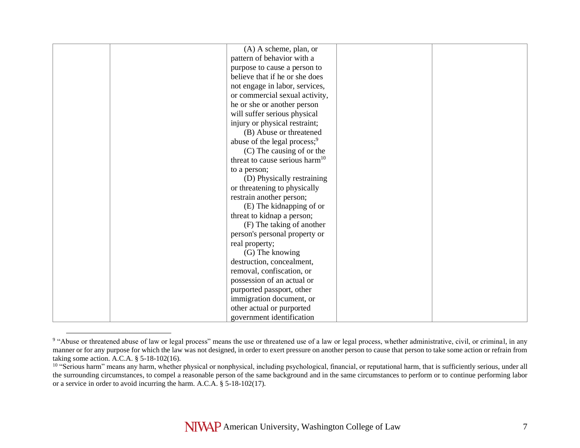|                                            | $(A)$ A scheme, plan, or       |
|--------------------------------------------|--------------------------------|
| pattern of behavior with a                 |                                |
| purpose to cause a person to               |                                |
| believe that if he or she does             |                                |
| not engage in labor, services,             |                                |
|                                            | or commercial sexual activity, |
| he or she or another person                |                                |
| will suffer serious physical               |                                |
| injury or physical restraint;              |                                |
|                                            | (B) Abuse or threatened        |
| abuse of the legal process; <sup>9</sup>   |                                |
|                                            | (C) The causing of or the      |
| threat to cause serious harm <sup>10</sup> |                                |
| to a person;                               |                                |
|                                            | (D) Physically restraining     |
| or threatening to physically               |                                |
| restrain another person;                   |                                |
|                                            | (E) The kidnapping of or       |
| threat to kidnap a person;                 |                                |
|                                            | (F) The taking of another      |
| person's personal property or              |                                |
| real property;                             |                                |
| (G) The knowing                            |                                |
| destruction, concealment,                  |                                |
| removal, confiscation, or                  |                                |
| possession of an actual or                 |                                |
| purported passport, other                  |                                |
| immigration document, or                   |                                |
| other actual or purported                  |                                |
| government identification                  |                                |

<sup>&</sup>lt;sup>9</sup> "Abuse or threatened abuse of law or legal process" means the use or threatened use of a law or legal process, whether administrative, civil, or criminal, in any manner or for any purpose for which the law was not designed, in order to exert pressure on another person to cause that person to take some action or refrain from taking some action. A.C.A. § 5-18-102(16).

<sup>&</sup>lt;sup>10</sup> "Serious harm" means any harm, whether physical or nonphysical, including psychological, financial, or reputational harm, that is sufficiently serious, under all the surrounding circumstances, to compel a reasonable person of the same background and in the same circumstances to perform or to continue performing labor or a service in order to avoid incurring the harm. A.C.A. § 5-18-102(17).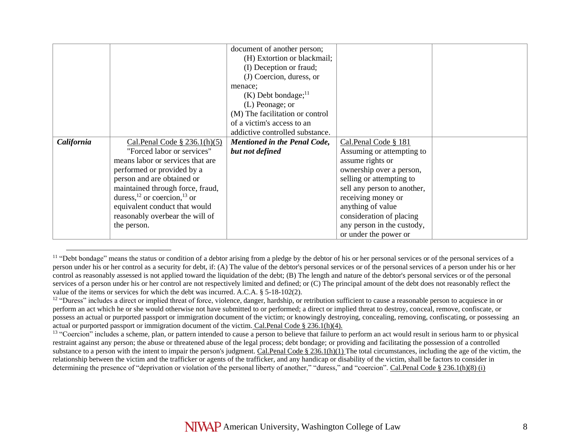|            |                                                     | document of another person;         |                             |  |
|------------|-----------------------------------------------------|-------------------------------------|-----------------------------|--|
|            |                                                     | (H) Extortion or blackmail;         |                             |  |
|            |                                                     | (I) Deception or fraud;             |                             |  |
|            |                                                     | (J) Coercion, duress, or            |                             |  |
|            |                                                     | menace:                             |                             |  |
|            |                                                     | $(K)$ Debt bondage; <sup>11</sup>   |                             |  |
|            |                                                     | (L) Peonage; or                     |                             |  |
|            |                                                     | (M) The facilitation or control     |                             |  |
|            |                                                     | of a victim's access to an          |                             |  |
|            |                                                     | addictive controlled substance.     |                             |  |
| California | Cal. Penal Code $\S$ 236.1(h)(5)                    | <b>Mentioned in the Penal Code,</b> | Cal.Penal Code § 181        |  |
|            | "Forced labor or services"                          | but not defined                     | Assuming or attempting to   |  |
|            | means labor or services that are                    |                                     | assume rights or            |  |
|            | performed or provided by a                          |                                     | ownership over a person,    |  |
|            | person and are obtained or                          |                                     | selling or attempting to    |  |
|            | maintained through force, fraud,                    |                                     | sell any person to another, |  |
|            | duress, <sup>12</sup> or coercion, <sup>13</sup> or |                                     | receiving money or          |  |
|            | equivalent conduct that would                       |                                     | anything of value           |  |
|            | reasonably overbear the will of                     |                                     | consideration of placing    |  |
|            | the person.                                         |                                     | any person in the custody,  |  |
|            |                                                     |                                     | or under the power or       |  |

<sup>&</sup>lt;sup>11</sup> "Debt bondage" means the status or condition of a debtor arising from a pledge by the debtor of his or her personal services or of the personal services of a person under his or her control as a security for debt, if: (A) The value of the debtor's personal services or of the personal services of a person under his or her control as reasonably assessed is not applied toward the liquidation of the debt; (B) The length and nature of the debtor's personal services or of the personal services of a person under his or her control are not respectively limited and defined; or (C) The principal amount of the debt does not reasonably reflect the value of the items or services for which the debt was incurred. A.C.A. § 5-18-102(2).

<sup>&</sup>lt;sup>12</sup> "Duress" includes a direct or implied threat of force, violence, danger, hardship, or retribution sufficient to cause a reasonable person to acquiesce in or perform an act which he or she would otherwise not have submitted to or performed; a direct or implied threat to destroy, conceal, remove, confiscate, or possess an actual or purported passport or immigration document of the victim; or knowingly destroying, concealing, removing, confiscating, or possessing an actual or purported passport or immigration document of the victim. Cal.Penal Code § 236.1(h)(4).

<sup>&</sup>lt;sup>13</sup> "Coercion" includes a scheme, plan, or pattern intended to cause a person to believe that failure to perform an act would result in serious harm to or physical restraint against any person; the abuse or threatened abuse of the legal process; debt bondage; or providing and facilitating the possession of a controlled substance to a person with the intent to impair the person's judgment. Cal.Penal Code  $\S 236.1(h)(1)$  The total circumstances, including the age of the victim, the relationship between the victim and the trafficker or agents of the trafficker, and any handicap or disability of the victim, shall be factors to consider in determining the presence of "deprivation or violation of the personal liberty of another," "duress," and "coercion". Cal.Penal Code § 236.1(h)(8) (i)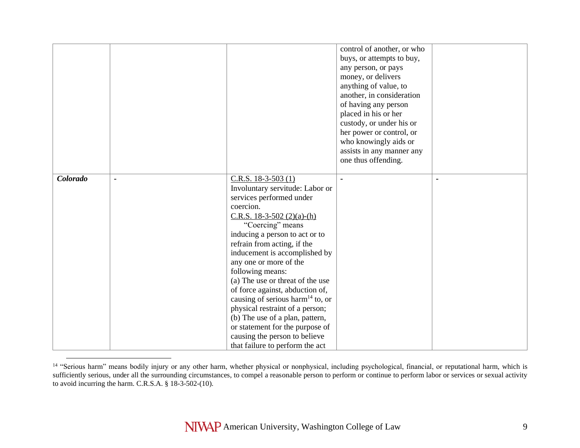|          |                                                                                                                                                                                                                                                                                                                                                                                                                                                                                                                                                                                                          | control of another, or who                                                |  |
|----------|----------------------------------------------------------------------------------------------------------------------------------------------------------------------------------------------------------------------------------------------------------------------------------------------------------------------------------------------------------------------------------------------------------------------------------------------------------------------------------------------------------------------------------------------------------------------------------------------------------|---------------------------------------------------------------------------|--|
|          |                                                                                                                                                                                                                                                                                                                                                                                                                                                                                                                                                                                                          | buys, or attempts to buy,                                                 |  |
|          |                                                                                                                                                                                                                                                                                                                                                                                                                                                                                                                                                                                                          | any person, or pays                                                       |  |
|          |                                                                                                                                                                                                                                                                                                                                                                                                                                                                                                                                                                                                          | money, or delivers                                                        |  |
|          |                                                                                                                                                                                                                                                                                                                                                                                                                                                                                                                                                                                                          | anything of value, to                                                     |  |
|          |                                                                                                                                                                                                                                                                                                                                                                                                                                                                                                                                                                                                          | another, in consideration                                                 |  |
|          |                                                                                                                                                                                                                                                                                                                                                                                                                                                                                                                                                                                                          | of having any person                                                      |  |
|          |                                                                                                                                                                                                                                                                                                                                                                                                                                                                                                                                                                                                          | placed in his or her                                                      |  |
|          |                                                                                                                                                                                                                                                                                                                                                                                                                                                                                                                                                                                                          | custody, or under his or                                                  |  |
|          |                                                                                                                                                                                                                                                                                                                                                                                                                                                                                                                                                                                                          | her power or control, or                                                  |  |
|          |                                                                                                                                                                                                                                                                                                                                                                                                                                                                                                                                                                                                          |                                                                           |  |
|          |                                                                                                                                                                                                                                                                                                                                                                                                                                                                                                                                                                                                          |                                                                           |  |
|          |                                                                                                                                                                                                                                                                                                                                                                                                                                                                                                                                                                                                          |                                                                           |  |
|          |                                                                                                                                                                                                                                                                                                                                                                                                                                                                                                                                                                                                          |                                                                           |  |
|          |                                                                                                                                                                                                                                                                                                                                                                                                                                                                                                                                                                                                          |                                                                           |  |
|          |                                                                                                                                                                                                                                                                                                                                                                                                                                                                                                                                                                                                          |                                                                           |  |
|          |                                                                                                                                                                                                                                                                                                                                                                                                                                                                                                                                                                                                          |                                                                           |  |
|          |                                                                                                                                                                                                                                                                                                                                                                                                                                                                                                                                                                                                          |                                                                           |  |
|          |                                                                                                                                                                                                                                                                                                                                                                                                                                                                                                                                                                                                          |                                                                           |  |
|          |                                                                                                                                                                                                                                                                                                                                                                                                                                                                                                                                                                                                          |                                                                           |  |
|          |                                                                                                                                                                                                                                                                                                                                                                                                                                                                                                                                                                                                          |                                                                           |  |
|          |                                                                                                                                                                                                                                                                                                                                                                                                                                                                                                                                                                                                          |                                                                           |  |
|          |                                                                                                                                                                                                                                                                                                                                                                                                                                                                                                                                                                                                          |                                                                           |  |
|          |                                                                                                                                                                                                                                                                                                                                                                                                                                                                                                                                                                                                          |                                                                           |  |
|          |                                                                                                                                                                                                                                                                                                                                                                                                                                                                                                                                                                                                          |                                                                           |  |
|          |                                                                                                                                                                                                                                                                                                                                                                                                                                                                                                                                                                                                          |                                                                           |  |
|          |                                                                                                                                                                                                                                                                                                                                                                                                                                                                                                                                                                                                          |                                                                           |  |
|          |                                                                                                                                                                                                                                                                                                                                                                                                                                                                                                                                                                                                          |                                                                           |  |
|          |                                                                                                                                                                                                                                                                                                                                                                                                                                                                                                                                                                                                          |                                                                           |  |
|          |                                                                                                                                                                                                                                                                                                                                                                                                                                                                                                                                                                                                          |                                                                           |  |
|          |                                                                                                                                                                                                                                                                                                                                                                                                                                                                                                                                                                                                          |                                                                           |  |
|          |                                                                                                                                                                                                                                                                                                                                                                                                                                                                                                                                                                                                          |                                                                           |  |
| Colorado | C.R.S. $18-3-503(1)$<br>Involuntary servitude: Labor or<br>services performed under<br>coercion.<br>C.R.S. $18-3-502$ (2)(a)-(h)<br>"Coercing" means<br>inducing a person to act or to<br>refrain from acting, if the<br>inducement is accomplished by<br>any one or more of the<br>following means:<br>(a) The use or threat of the use<br>of force against, abduction of,<br>causing of serious harm <sup>14</sup> to, or<br>physical restraint of a person;<br>(b) The use of a plan, pattern,<br>or statement for the purpose of<br>causing the person to believe<br>that failure to perform the act | who knowingly aids or<br>assists in any manner any<br>one thus offending. |  |

<sup>&</sup>lt;sup>14</sup> "Serious harm" means bodily injury or any other harm, whether physical or nonphysical, including psychological, financial, or reputational harm, which is sufficiently serious, under all the surrounding circumstances, to compel a reasonable person to perform or continue to perform labor or services or sexual activity to avoid incurring the harm. C.R.S.A. § 18-3-502-(10).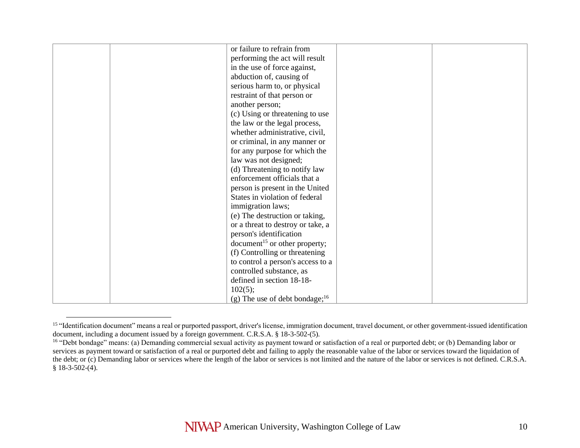| or failure to refrain from                |  |
|-------------------------------------------|--|
| performing the act will result            |  |
| in the use of force against,              |  |
| abduction of, causing of                  |  |
| serious harm to, or physical              |  |
| restraint of that person or               |  |
| another person;                           |  |
| (c) Using or threatening to use           |  |
| the law or the legal process,             |  |
| whether administrative, civil,            |  |
| or criminal, in any manner or             |  |
| for any purpose for which the             |  |
| law was not designed;                     |  |
| (d) Threatening to notify law             |  |
| enforcement officials that a              |  |
| person is present in the United           |  |
| States in violation of federal            |  |
| immigration laws;                         |  |
| (e) The destruction or taking,            |  |
| or a threat to destroy or take, a         |  |
| person's identification                   |  |
| document <sup>15</sup> or other property; |  |
| (f) Controlling or threatening            |  |
| to control a person's access to a         |  |
| controlled substance, as                  |  |
| defined in section 18-18-                 |  |
| 102(5);                                   |  |
| (g) The use of debt bondage; $^{16}$      |  |

<sup>&</sup>lt;sup>15</sup> "Identification document" means a real or purported passport, driver's license, immigration document, travel document, or other government-issued identification document, including a document issued by a foreign government. C.R.S.A. § 18-3-502-(5).

<sup>&</sup>lt;sup>16</sup> "Debt bondage" means: (a) Demanding commercial sexual activity as payment toward or satisfaction of a real or purported debt; or (b) Demanding labor or services as payment toward or satisfaction of a real or purported debt and failing to apply the reasonable value of the labor or services toward the liquidation of the debt; or (c) Demanding labor or services where the length of the labor or services is not limited and the nature of the labor or services is not defined. C.R.S.A. § 18-3-502-(4).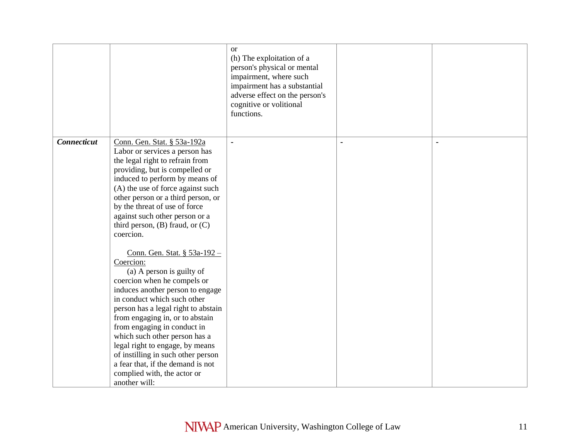|                    |                                                                                                                                                                                                                                                                                                                                                                                                                                                                                                                                                                                                                                                                                                                                                                                                                                                            | <sub>or</sub><br>(h) The exploitation of a<br>person's physical or mental<br>impairment, where such<br>impairment has a substantial<br>adverse effect on the person's<br>cognitive or volitional<br>functions. |  |
|--------------------|------------------------------------------------------------------------------------------------------------------------------------------------------------------------------------------------------------------------------------------------------------------------------------------------------------------------------------------------------------------------------------------------------------------------------------------------------------------------------------------------------------------------------------------------------------------------------------------------------------------------------------------------------------------------------------------------------------------------------------------------------------------------------------------------------------------------------------------------------------|----------------------------------------------------------------------------------------------------------------------------------------------------------------------------------------------------------------|--|
| <b>Connecticut</b> | Conn. Gen. Stat. § 53a-192a<br>Labor or services a person has<br>the legal right to refrain from<br>providing, but is compelled or<br>induced to perform by means of<br>(A) the use of force against such<br>other person or a third person, or<br>by the threat of use of force<br>against such other person or a<br>third person, $(B)$ fraud, or $(C)$<br>coercion.<br>Conn. Gen. Stat. § 53a-192 -<br>Coercion:<br>(a) A person is guilty of<br>coercion when he compels or<br>induces another person to engage<br>in conduct which such other<br>person has a legal right to abstain<br>from engaging in, or to abstain<br>from engaging in conduct in<br>which such other person has a<br>legal right to engage, by means<br>of instilling in such other person<br>a fear that, if the demand is not<br>complied with, the actor or<br>another will: | $\blacksquare$                                                                                                                                                                                                 |  |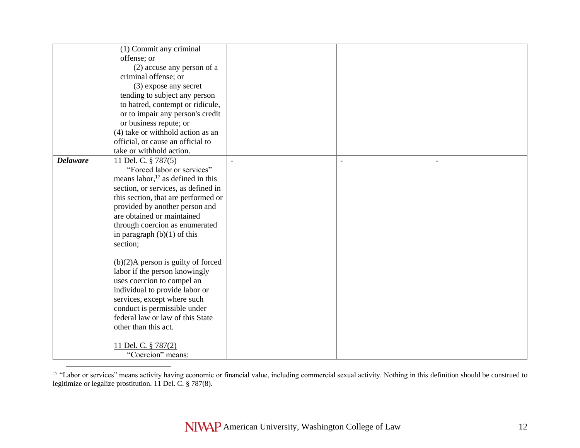|                 | (1) Commit any criminal                 |  |  |
|-----------------|-----------------------------------------|--|--|
|                 | offense; or                             |  |  |
|                 | (2) accuse any person of a              |  |  |
|                 | criminal offense; or                    |  |  |
|                 | (3) expose any secret                   |  |  |
|                 | tending to subject any person           |  |  |
|                 | to hatred, contempt or ridicule,        |  |  |
|                 | or to impair any person's credit        |  |  |
|                 | or business repute; or                  |  |  |
|                 | (4) take or withhold action as an       |  |  |
|                 | official, or cause an official to       |  |  |
|                 | take or withhold action.                |  |  |
| <b>Delaware</b> | 11 Del. C. § 787(5)                     |  |  |
|                 | "Forced labor or services"              |  |  |
|                 | means labor, $^{17}$ as defined in this |  |  |
|                 | section, or services, as defined in     |  |  |
|                 | this section, that are performed or     |  |  |
|                 | provided by another person and          |  |  |
|                 | are obtained or maintained              |  |  |
|                 | through coercion as enumerated          |  |  |
|                 | in paragraph $(b)(1)$ of this           |  |  |
|                 | section;                                |  |  |
|                 |                                         |  |  |
|                 | $(b)(2)$ A person is guilty of forced   |  |  |
|                 | labor if the person knowingly           |  |  |
|                 | uses coercion to compel an              |  |  |
|                 | individual to provide labor or          |  |  |
|                 | services, except where such             |  |  |
|                 | conduct is permissible under            |  |  |
|                 | federal law or law of this State        |  |  |
|                 | other than this act.                    |  |  |
|                 |                                         |  |  |
|                 | 11 Del. C. § 787(2)                     |  |  |
|                 | "Coercion" means:                       |  |  |

<sup>&</sup>lt;sup>17</sup> "Labor or services" means activity having economic or financial value, including commercial sexual activity. Nothing in this definition should be construed to legitimize or legalize prostitution. 11 Del. C. § 787(8).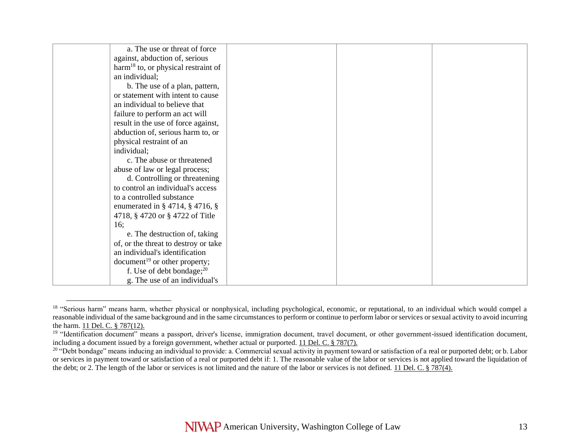| a. The use or threat of force                   |  |  |
|-------------------------------------------------|--|--|
| against, abduction of, serious                  |  |  |
| harm <sup>18</sup> to, or physical restraint of |  |  |
| an individual;                                  |  |  |
| b. The use of a plan, pattern,                  |  |  |
| or statement with intent to cause               |  |  |
| an individual to believe that                   |  |  |
| failure to perform an act will                  |  |  |
| result in the use of force against,             |  |  |
| abduction of, serious harm to, or               |  |  |
| physical restraint of an                        |  |  |
| individual;                                     |  |  |
| c. The abuse or threatened                      |  |  |
| abuse of law or legal process;                  |  |  |
| d. Controlling or threatening                   |  |  |
| to control an individual's access               |  |  |
| to a controlled substance                       |  |  |
| enumerated in $\S$ 4714, $\S$ 4716, $\S$        |  |  |
| 4718, § 4720 or § 4722 of Title                 |  |  |
| 16;                                             |  |  |
| e. The destruction of, taking                   |  |  |
| of, or the threat to destroy or take            |  |  |
| an individual's identification                  |  |  |
| $document19$ or other property;                 |  |  |
| f. Use of debt bondage; $^{20}$                 |  |  |
| g. The use of an individual's                   |  |  |

<sup>&</sup>lt;sup>18</sup> "Serious harm" means harm, whether physical or nonphysical, including psychological, economic, or reputational, to an individual which would compel a reasonable individual of the same background and in the same circumstances to perform or continue to perform labor or services or sexual activity to avoid incurring the harm. 11 Del. C. § 787(12).

<sup>&</sup>lt;sup>19</sup> "Identification document" means a passport, driver's license, immigration document, travel document, or other government-issued identification document, including a document issued by a foreign government, whether actual or purported. 11 Del. C. § 787(7).

<sup>&</sup>lt;sup>20</sup> "Debt bondage" means inducing an individual to provide: a. Commercial sexual activity in payment toward or satisfaction of a real or purported debt; or b. Labor or services in payment toward or satisfaction of a real or purported debt if: 1. The reasonable value of the labor or services is not applied toward the liquidation of the debt; or 2. The length of the labor or services is not limited and the nature of the labor or services is not defined. 11 Del. C. § 787(4).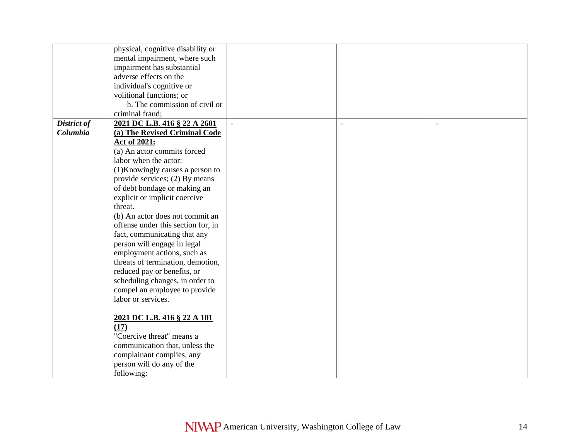|             | physical, cognitive disability or  |  |  |
|-------------|------------------------------------|--|--|
|             | mental impairment, where such      |  |  |
|             | impairment has substantial         |  |  |
|             | adverse effects on the             |  |  |
|             | individual's cognitive or          |  |  |
|             | volitional functions; or           |  |  |
|             | h. The commission of civil or      |  |  |
|             | criminal fraud;                    |  |  |
| District of | 2021 DC L.B. 416 § 22 A 2601       |  |  |
| Columbia    | (a) The Revised Criminal Code      |  |  |
|             | Act of 2021:                       |  |  |
|             | (a) An actor commits forced        |  |  |
|             | labor when the actor:              |  |  |
|             | (1) Knowingly causes a person to   |  |  |
|             | provide services; (2) By means     |  |  |
|             | of debt bondage or making an       |  |  |
|             | explicit or implicit coercive      |  |  |
|             | threat.                            |  |  |
|             | (b) An actor does not commit an    |  |  |
|             | offense under this section for, in |  |  |
|             |                                    |  |  |
|             | fact, communicating that any       |  |  |
|             | person will engage in legal        |  |  |
|             | employment actions, such as        |  |  |
|             | threats of termination, demotion,  |  |  |
|             | reduced pay or benefits, or        |  |  |
|             | scheduling changes, in order to    |  |  |
|             | compel an employee to provide      |  |  |
|             | labor or services.                 |  |  |
|             |                                    |  |  |
|             | 2021 DC L.B. 416 § 22 A 101        |  |  |
|             | (17)                               |  |  |
|             | "Coercive threat" means a          |  |  |
|             | communication that, unless the     |  |  |
|             | complainant complies, any          |  |  |
|             | person will do any of the          |  |  |
|             | following:                         |  |  |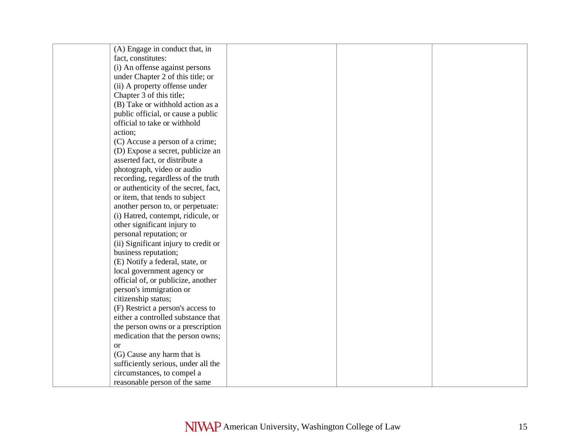| (A) Engage in conduct that, in       |  |  |
|--------------------------------------|--|--|
| fact, constitutes:                   |  |  |
| (i) An offense against persons       |  |  |
| under Chapter 2 of this title; or    |  |  |
| (ii) A property offense under        |  |  |
| Chapter 3 of this title;             |  |  |
| (B) Take or withhold action as a     |  |  |
| public official, or cause a public   |  |  |
| official to take or withhold         |  |  |
| action;                              |  |  |
| (C) Accuse a person of a crime;      |  |  |
| (D) Expose a secret, publicize an    |  |  |
| asserted fact, or distribute a       |  |  |
| photograph, video or audio           |  |  |
| recording, regardless of the truth   |  |  |
| or authenticity of the secret, fact, |  |  |
| or item, that tends to subject       |  |  |
| another person to, or perpetuate:    |  |  |
| (i) Hatred, contempt, ridicule, or   |  |  |
| other significant injury to          |  |  |
| personal reputation; or              |  |  |
| (ii) Significant injury to credit or |  |  |
| business reputation;                 |  |  |
| (E) Notify a federal, state, or      |  |  |
| local government agency or           |  |  |
| official of, or publicize, another   |  |  |
| person's immigration or              |  |  |
| citizenship status;                  |  |  |
| (F) Restrict a person's access to    |  |  |
| either a controlled substance that   |  |  |
| the person owns or a prescription    |  |  |
| medication that the person owns;     |  |  |
| <sub>or</sub>                        |  |  |
| (G) Cause any harm that is           |  |  |
| sufficiently serious, under all the  |  |  |
| circumstances, to compel a           |  |  |
| reasonable person of the same        |  |  |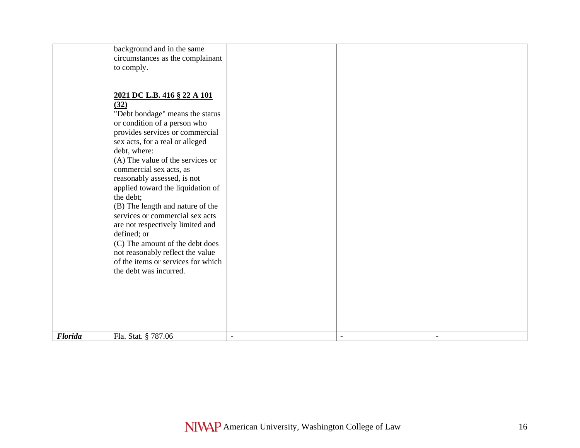| <b>Florida</b><br>Fla. Stat. § 787.06<br>$\blacksquare$<br>$\blacksquare$<br>$\blacksquare$ | circumstances as the complainant | to comply.<br>2021 DC L.B. 416 § 22 A 101<br>(32)<br>"Debt bondage" means the status<br>or condition of a person who<br>provides services or commercial<br>sex acts, for a real or alleged<br>debt, where:<br>(A) The value of the services or<br>commercial sex acts, as<br>reasonably assessed, is not<br>applied toward the liquidation of<br>the debt;<br>(B) The length and nature of the<br>services or commercial sex acts<br>are not respectively limited and<br>defined; or<br>(C) The amount of the debt does<br>not reasonably reflect the value<br>of the items or services for which<br>the debt was incurred. |  |  |  |
|---------------------------------------------------------------------------------------------|----------------------------------|-----------------------------------------------------------------------------------------------------------------------------------------------------------------------------------------------------------------------------------------------------------------------------------------------------------------------------------------------------------------------------------------------------------------------------------------------------------------------------------------------------------------------------------------------------------------------------------------------------------------------------|--|--|--|
|---------------------------------------------------------------------------------------------|----------------------------------|-----------------------------------------------------------------------------------------------------------------------------------------------------------------------------------------------------------------------------------------------------------------------------------------------------------------------------------------------------------------------------------------------------------------------------------------------------------------------------------------------------------------------------------------------------------------------------------------------------------------------------|--|--|--|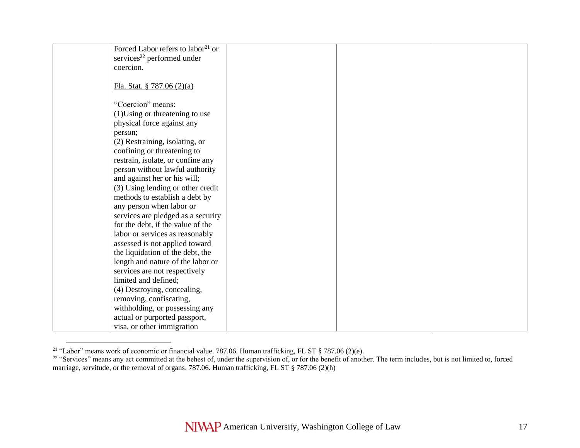| Forced Labor refers to labor <sup>21</sup> or |                                    |  |  |
|-----------------------------------------------|------------------------------------|--|--|
|                                               |                                    |  |  |
| services <sup>22</sup> performed under        |                                    |  |  |
| coercion.                                     |                                    |  |  |
|                                               |                                    |  |  |
| Fla. Stat. $§ 787.06(2)(a)$                   |                                    |  |  |
|                                               |                                    |  |  |
| "Coercion" means:                             |                                    |  |  |
| (1) Using or threatening to use               |                                    |  |  |
| physical force against any                    |                                    |  |  |
| person;                                       |                                    |  |  |
| (2) Restraining, isolating, or                |                                    |  |  |
| confining or threatening to                   |                                    |  |  |
|                                               |                                    |  |  |
| restrain, isolate, or confine any             |                                    |  |  |
| person without lawful authority               |                                    |  |  |
| and against her or his will;                  |                                    |  |  |
| (3) Using lending or other credit             |                                    |  |  |
| methods to establish a debt by                |                                    |  |  |
| any person when labor or                      |                                    |  |  |
|                                               | services are pledged as a security |  |  |
| for the debt, if the value of the             |                                    |  |  |
| labor or services as reasonably               |                                    |  |  |
| assessed is not applied toward                |                                    |  |  |
| the liquidation of the debt, the              |                                    |  |  |
| length and nature of the labor or             |                                    |  |  |
| services are not respectively                 |                                    |  |  |
| limited and defined;                          |                                    |  |  |
| (4) Destroying, concealing,                   |                                    |  |  |
| removing, confiscating,                       |                                    |  |  |
| withholding, or possessing any                |                                    |  |  |
|                                               |                                    |  |  |
| actual or purported passport,                 |                                    |  |  |
| visa, or other immigration                    |                                    |  |  |

<sup>&</sup>lt;sup>21</sup> "Labor" means work of economic or financial value. 787.06. Human trafficking, FL ST § 787.06 (2)(e).

<sup>&</sup>lt;sup>22</sup> "Services" means any act committed at the behest of, under the supervision of, or for the benefit of another. The term includes, but is not limited to, forced marriage, servitude, or the removal of organs. 787.06. Human trafficking, FL ST § 787.06 (2)(h)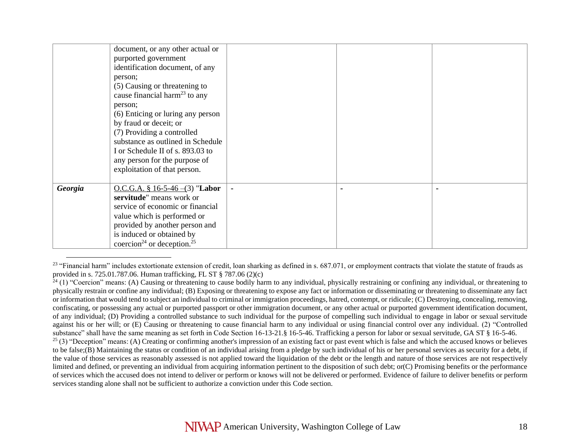| document, or any other actual or                   |  |
|----------------------------------------------------|--|
| purported government                               |  |
| identification document, of any                    |  |
| person;                                            |  |
| (5) Causing or threatening to                      |  |
| cause financial harm <sup>23</sup> to any          |  |
| person;                                            |  |
| (6) Enticing or luring any person                  |  |
| by fraud or deceit; or                             |  |
| (7) Providing a controlled                         |  |
| substance as outlined in Schedule                  |  |
| I or Schedule II of s. 893.03 to                   |  |
| any person for the purpose of                      |  |
| exploitation of that person.                       |  |
|                                                    |  |
| Georgia<br>O.C.G.A. § 16-5-46 –(3) "Labor          |  |
| servitude" means work or                           |  |
| service of economic or financial                   |  |
| value which is performed or                        |  |
| provided by another person and                     |  |
| is induced or obtained by                          |  |
| coercion <sup>24</sup> or deception. <sup>25</sup> |  |

<sup>&</sup>lt;sup>23</sup> "Financial harm" includes extortionate extension of credit, loan sharking as defined in s. 687.071, or employment contracts that violate the statute of frauds as provided in s. 725.01.787.06. Human trafficking, FL ST § 787.06 (2)(c)

 $24$  (1) "Coercion" means: (A) Causing or threatening to cause bodily harm to any individual, physically restraining or confining any individual, or threatening to physically restrain or confine any individual; (B) Exposing or threatening to expose any fact or information or disseminating or threatening to disseminate any fact or information that would tend to subject an individual to criminal or immigration proceedings, hatred, contempt, or ridicule; (C) Destroying, concealing, removing, confiscating, or possessing any actual or purported passport or other immigration document, or any other actual or purported government identification document, of any individual; (D) Providing a controlled substance to such individual for the purpose of compelling such individual to engage in labor or sexual servitude against his or her will; or (E) Causing or threatening to cause financial harm to any individual or using financial control over any individual. (2) "Controlled substance" shall have the same meaning as set forth in Code Section 16-13-21.§ 16-5-46. Trafficking a person for labor or sexual servitude, GA ST § 16-5-46.  $25$  (3) "Deception" means: (A) Creating or confirming another's impression of an existing fact or past event which is false and which the accused knows or believes to be false;(B) Maintaining the status or condition of an individual arising from a pledge by such individual of his or her personal services as security for a debt, if the value of those services as reasonably assessed is not applied toward the liquidation of the debt or the length and nature of those services are not respectively limited and defined, or preventing an individual from acquiring information pertinent to the disposition of such debt; or(C) Promising benefits or the performance of services which the accused does not intend to deliver or perform or knows will not be delivered or performed. Evidence of failure to deliver benefits or perform services standing alone shall not be sufficient to authorize a conviction under this Code section.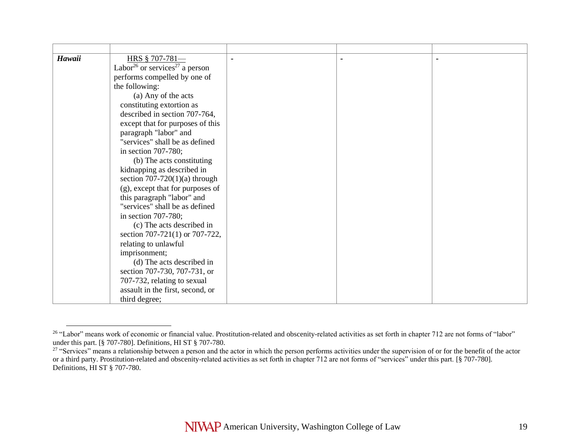| Hawaii | HRS $§$ 707-781-                                       | $\blacksquare$ | $\blacksquare$ | $\blacksquare$ |
|--------|--------------------------------------------------------|----------------|----------------|----------------|
|        | Labor <sup>26</sup> or services <sup>27</sup> a person |                |                |                |
|        | performs compelled by one of                           |                |                |                |
|        | the following:                                         |                |                |                |
|        | (a) Any of the acts                                    |                |                |                |
|        | constituting extortion as                              |                |                |                |
|        | described in section 707-764,                          |                |                |                |
|        | except that for purposes of this                       |                |                |                |
|        | paragraph "labor" and                                  |                |                |                |
|        | "services" shall be as defined                         |                |                |                |
|        | in section 707-780;                                    |                |                |                |
|        | (b) The acts constituting                              |                |                |                |
|        | kidnapping as described in                             |                |                |                |
|        | section $707-720(1)(a)$ through                        |                |                |                |
|        | (g), except that for purposes of                       |                |                |                |
|        | this paragraph "labor" and                             |                |                |                |
|        | "services" shall be as defined                         |                |                |                |
|        | in section 707-780;                                    |                |                |                |
|        | (c) The acts described in                              |                |                |                |
|        | section 707-721(1) or 707-722,                         |                |                |                |
|        | relating to unlawful                                   |                |                |                |
|        | imprisonment;                                          |                |                |                |
|        | (d) The acts described in                              |                |                |                |
|        | section 707-730, 707-731, or                           |                |                |                |
|        | 707-732, relating to sexual                            |                |                |                |
|        | assault in the first, second, or                       |                |                |                |
|        | third degree;                                          |                |                |                |

<sup>&</sup>lt;sup>26</sup> "Labor" means work of economic or financial value. Prostitution-related and obscenity-related activities as set forth in chapter 712 are not forms of "labor" under this part. [§ 707-780]. Definitions, HI ST § 707-780.

<sup>&</sup>lt;sup>27</sup> "Services" means a relationship between a person and the actor in which the person performs activities under the supervision of or for the benefit of the actor or a third party. Prostitution-related and obscenity-related activities as set forth in chapter 712 are not forms of "services" under this part. [§ 707-780]. Definitions, HI ST § 707-780.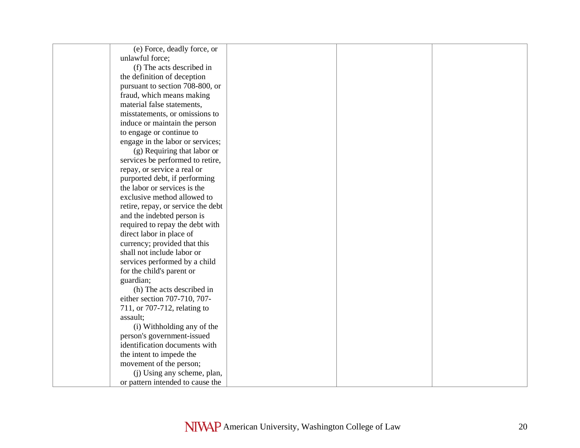| (e) Force, deadly force, or        |  |  |
|------------------------------------|--|--|
| unlawful force;                    |  |  |
| (f) The acts described in          |  |  |
| the definition of deception        |  |  |
| pursuant to section 708-800, or    |  |  |
| fraud, which means making          |  |  |
| material false statements,         |  |  |
| misstatements, or omissions to     |  |  |
| induce or maintain the person      |  |  |
| to engage or continue to           |  |  |
| engage in the labor or services;   |  |  |
| (g) Requiring that labor or        |  |  |
| services be performed to retire,   |  |  |
| repay, or service a real or        |  |  |
| purported debt, if performing      |  |  |
| the labor or services is the       |  |  |
| exclusive method allowed to        |  |  |
| retire, repay, or service the debt |  |  |
| and the indebted person is         |  |  |
| required to repay the debt with    |  |  |
| direct labor in place of           |  |  |
| currency; provided that this       |  |  |
| shall not include labor or         |  |  |
| services performed by a child      |  |  |
| for the child's parent or          |  |  |
| guardian;                          |  |  |
| (h) The acts described in          |  |  |
| either section 707-710, 707-       |  |  |
| 711, or 707-712, relating to       |  |  |
| assault;                           |  |  |
| (i) Withholding any of the         |  |  |
| person's government-issued         |  |  |
| identification documents with      |  |  |
| the intent to impede the           |  |  |
| movement of the person;            |  |  |
| (j) Using any scheme, plan,        |  |  |
| or pattern intended to cause the   |  |  |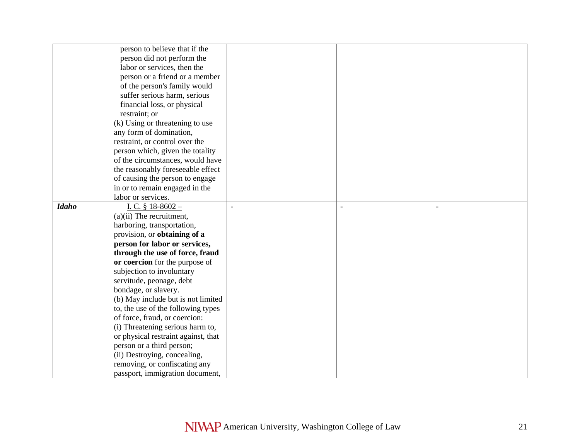|              | person to believe that if the       |                |  |
|--------------|-------------------------------------|----------------|--|
|              | person did not perform the          |                |  |
|              | labor or services, then the         |                |  |
|              | person or a friend or a member      |                |  |
|              | of the person's family would        |                |  |
|              | suffer serious harm, serious        |                |  |
|              | financial loss, or physical         |                |  |
|              | restraint; or                       |                |  |
|              | (k) Using or threatening to use     |                |  |
|              | any form of domination,             |                |  |
|              | restraint, or control over the      |                |  |
|              | person which, given the totality    |                |  |
|              | of the circumstances, would have    |                |  |
|              | the reasonably foreseeable effect   |                |  |
|              | of causing the person to engage     |                |  |
|              | in or to remain engaged in the      |                |  |
|              | labor or services.                  |                |  |
| <b>Idaho</b> | I. C. $§$ 18-8602 -                 | $\blacksquare$ |  |
|              | $(a)(ii)$ The recruitment,          |                |  |
|              | harboring, transportation,          |                |  |
|              | provision, or obtaining of a        |                |  |
|              | person for labor or services,       |                |  |
|              | through the use of force, fraud     |                |  |
|              | or coercion for the purpose of      |                |  |
|              | subjection to involuntary           |                |  |
|              | servitude, peonage, debt            |                |  |
|              | bondage, or slavery.                |                |  |
|              | (b) May include but is not limited  |                |  |
|              | to, the use of the following types  |                |  |
|              | of force, fraud, or coercion:       |                |  |
|              | (i) Threatening serious harm to,    |                |  |
|              | or physical restraint against, that |                |  |
|              | person or a third person;           |                |  |
|              | (ii) Destroying, concealing,        |                |  |
|              | removing, or confiscating any       |                |  |
|              | passport, immigration document,     |                |  |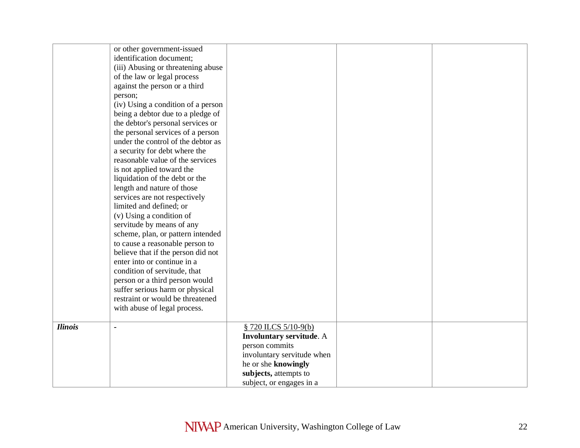|                | or other government-issued         |                                 |  |
|----------------|------------------------------------|---------------------------------|--|
|                | identification document;           |                                 |  |
|                | (iii) Abusing or threatening abuse |                                 |  |
|                | of the law or legal process        |                                 |  |
|                | against the person or a third      |                                 |  |
|                | person;                            |                                 |  |
|                | (iv) Using a condition of a person |                                 |  |
|                | being a debtor due to a pledge of  |                                 |  |
|                | the debtor's personal services or  |                                 |  |
|                | the personal services of a person  |                                 |  |
|                | under the control of the debtor as |                                 |  |
|                | a security for debt where the      |                                 |  |
|                | reasonable value of the services   |                                 |  |
|                | is not applied toward the          |                                 |  |
|                | liquidation of the debt or the     |                                 |  |
|                | length and nature of those         |                                 |  |
|                | services are not respectively      |                                 |  |
|                | limited and defined; or            |                                 |  |
|                | (v) Using a condition of           |                                 |  |
|                | servitude by means of any          |                                 |  |
|                | scheme, plan, or pattern intended  |                                 |  |
|                | to cause a reasonable person to    |                                 |  |
|                | believe that if the person did not |                                 |  |
|                | enter into or continue in a        |                                 |  |
|                | condition of servitude, that       |                                 |  |
|                | person or a third person would     |                                 |  |
|                | suffer serious harm or physical    |                                 |  |
|                | restraint or would be threatened   |                                 |  |
|                | with abuse of legal process.       |                                 |  |
|                |                                    |                                 |  |
| <b>Ilinois</b> |                                    | $$720$ ILCS 5/10-9(b)           |  |
|                |                                    | <b>Involuntary servitude.</b> A |  |
|                |                                    | person commits                  |  |
|                |                                    | involuntary servitude when      |  |
|                |                                    | he or she knowingly             |  |
|                |                                    | subjects, attempts to           |  |
|                |                                    | subject, or engages in a        |  |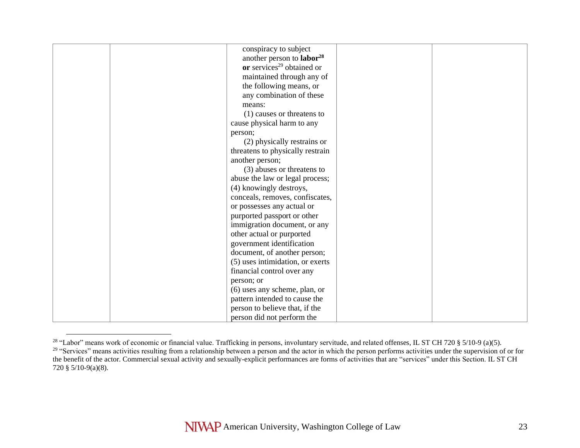| conspiracy to subject                        |  |
|----------------------------------------------|--|
| another person to <b>labor</b> <sup>28</sup> |  |
| or services <sup>29</sup> obtained or        |  |
| maintained through any of                    |  |
| the following means, or                      |  |
| any combination of these                     |  |
| means:                                       |  |
| (1) causes or threatens to                   |  |
| cause physical harm to any                   |  |
| person;                                      |  |
| (2) physically restrains or                  |  |
| threatens to physically restrain             |  |
| another person;                              |  |
| (3) abuses or threatens to                   |  |
| abuse the law or legal process;              |  |
| (4) knowingly destroys,                      |  |
| conceals, removes, confiscates,              |  |
| or possesses any actual or                   |  |
| purported passport or other                  |  |
| immigration document, or any                 |  |
| other actual or purported                    |  |
| government identification                    |  |
| document, of another person;                 |  |
| (5) uses intimidation, or exerts             |  |
| financial control over any                   |  |
| person; or                                   |  |
| (6) uses any scheme, plan, or                |  |
| pattern intended to cause the                |  |
| person to believe that, if the               |  |
| person did not perform the                   |  |

<sup>&</sup>lt;sup>28</sup> "Labor" means work of economic or financial value. Trafficking in persons, involuntary servitude, and related offenses, IL ST CH 720 § 5/10-9 (a)(5). <sup>29</sup> "Services" means activities resulting from a relationship between a person and the actor in which the person performs activities under the supervision of or for the benefit of the actor. Commercial sexual activity and sexually-explicit performances are forms of activities that are "services" under this Section. IL ST CH 720 § 5/10-9(a)(8).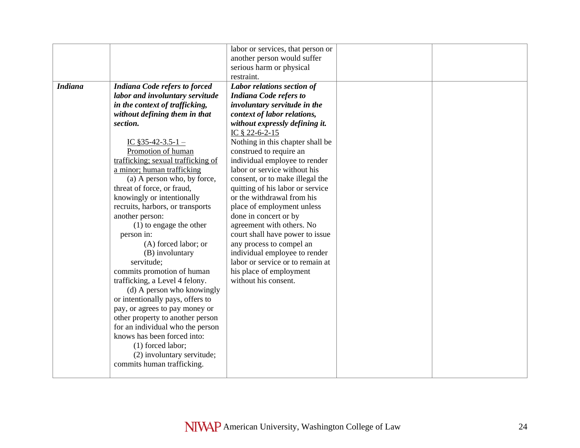| <b>Indiana</b> | <b>Indiana Code refers to forced</b>                           | labor or services, that person or<br>another person would suffer<br>serious harm or physical<br>restraint.<br>Labor relations section of |  |
|----------------|----------------------------------------------------------------|------------------------------------------------------------------------------------------------------------------------------------------|--|
|                | labor and involuntary servitude                                | <b>Indiana Code refers to</b>                                                                                                            |  |
|                | in the context of trafficking,                                 | involuntary servitude in the                                                                                                             |  |
|                | without defining them in that                                  | context of labor relations,                                                                                                              |  |
|                | section.                                                       | without expressly defining it.                                                                                                           |  |
|                |                                                                | IC § 22-6-2-15                                                                                                                           |  |
|                | IC $$35-42-3.5-1-$                                             | Nothing in this chapter shall be                                                                                                         |  |
|                | Promotion of human                                             | construed to require an                                                                                                                  |  |
|                | trafficking; sexual trafficking of                             | individual employee to render                                                                                                            |  |
|                | a minor; human trafficking                                     | labor or service without his                                                                                                             |  |
|                | (a) A person who, by force,                                    | consent, or to make illegal the                                                                                                          |  |
|                | threat of force, or fraud,                                     | quitting of his labor or service                                                                                                         |  |
|                | knowingly or intentionally                                     | or the withdrawal from his                                                                                                               |  |
|                | recruits, harbors, or transports                               | place of employment unless                                                                                                               |  |
|                | another person:                                                | done in concert or by                                                                                                                    |  |
|                | $(1)$ to engage the other                                      | agreement with others. No                                                                                                                |  |
|                | person in:                                                     | court shall have power to issue                                                                                                          |  |
|                | (A) forced labor; or                                           | any process to compel an                                                                                                                 |  |
|                | (B) involuntary                                                | individual employee to render                                                                                                            |  |
|                | servitude;                                                     | labor or service or to remain at                                                                                                         |  |
|                | commits promotion of human                                     | his place of employment                                                                                                                  |  |
|                | trafficking, a Level 4 felony.                                 | without his consent.                                                                                                                     |  |
|                | (d) A person who knowingly<br>or intentionally pays, offers to |                                                                                                                                          |  |
|                | pay, or agrees to pay money or                                 |                                                                                                                                          |  |
|                | other property to another person                               |                                                                                                                                          |  |
|                | for an individual who the person                               |                                                                                                                                          |  |
|                | knows has been forced into:                                    |                                                                                                                                          |  |
|                | (1) forced labor;                                              |                                                                                                                                          |  |
|                | (2) involuntary servitude;                                     |                                                                                                                                          |  |
|                | commits human trafficking.                                     |                                                                                                                                          |  |
|                |                                                                |                                                                                                                                          |  |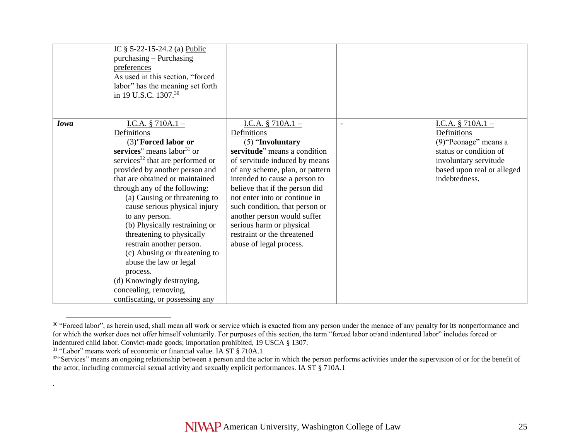|             | IC § 5-22-15-24.2 (a) Public<br>$purchasing-Purchasing$<br>preferences<br>As used in this section, "forced<br>labor" has the meaning set forth<br>in 19 U.S.C. 1307.30                                                                                                                                                                                                                                                                                                                                                                                                                        |                                                                                                                                                                                                                                                                                                                                                                                                                          |                                                                                                                                                               |
|-------------|-----------------------------------------------------------------------------------------------------------------------------------------------------------------------------------------------------------------------------------------------------------------------------------------------------------------------------------------------------------------------------------------------------------------------------------------------------------------------------------------------------------------------------------------------------------------------------------------------|--------------------------------------------------------------------------------------------------------------------------------------------------------------------------------------------------------------------------------------------------------------------------------------------------------------------------------------------------------------------------------------------------------------------------|---------------------------------------------------------------------------------------------------------------------------------------------------------------|
| <b>Iowa</b> | I.C.A. $§ 710A.1 -$<br>Definitions<br>(3)"Forced labor or<br>services" means $labor31$ or<br>services <sup>32</sup> that are performed or<br>provided by another person and<br>that are obtained or maintained<br>through any of the following:<br>(a) Causing or threatening to<br>cause serious physical injury<br>to any person.<br>(b) Physically restraining or<br>threatening to physically<br>restrain another person.<br>(c) Abusing or threatening to<br>abuse the law or legal<br>process.<br>(d) Knowingly destroying,<br>concealing, removing,<br>confiscating, or possessing any | I.C.A. $§ 710A.1 -$<br>Definitions<br>$(5)$ "Involuntary"<br>servitude" means a condition<br>of servitude induced by means<br>of any scheme, plan, or pattern<br>intended to cause a person to<br>believe that if the person did<br>not enter into or continue in<br>such condition, that person or<br>another person would suffer<br>serious harm or physical<br>restraint or the threatened<br>abuse of legal process. | I.C.A. $§ 710A.1 -$<br>Definitions<br>(9) "Peonage" means a<br>status or condition of<br>involuntary servitude<br>based upon real or alleged<br>indebtedness. |

<sup>&</sup>lt;sup>30</sup> "Forced labor", as herein used, shall mean all work or service which is exacted from any person under the menace of any penalty for its nonperformance and for which the worker does not offer himself voluntarily. For purposes of this section, the term "forced labor or/and indentured labor" includes forced or indentured child labor. Convict-made goods; importation prohibited, 19 USCA § 1307.

.

<sup>&</sup>lt;sup>31</sup> "Labor" means work of economic or financial value. IA ST § 710A.1

<sup>&</sup>lt;sup>32</sup>"Services" means an ongoing relationship between a person and the actor in which the person performs activities under the supervision of or for the benefit of the actor, including commercial sexual activity and sexually explicit performances. IA ST § 710A.1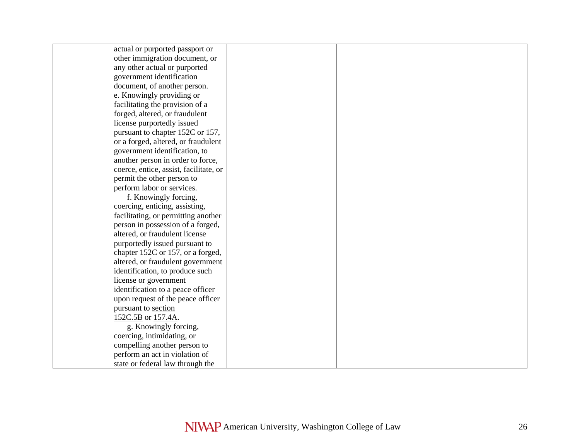| actual or purported passport or        |  |  |
|----------------------------------------|--|--|
| other immigration document, or         |  |  |
| any other actual or purported          |  |  |
| government identification              |  |  |
| document, of another person.           |  |  |
| e. Knowingly providing or              |  |  |
| facilitating the provision of a        |  |  |
| forged, altered, or fraudulent         |  |  |
| license purportedly issued             |  |  |
| pursuant to chapter 152C or 157,       |  |  |
| or a forged, altered, or fraudulent    |  |  |
| government identification, to          |  |  |
| another person in order to force,      |  |  |
| coerce, entice, assist, facilitate, or |  |  |
| permit the other person to             |  |  |
| perform labor or services.             |  |  |
| f. Knowingly forcing,                  |  |  |
| coercing, enticing, assisting,         |  |  |
| facilitating, or permitting another    |  |  |
| person in possession of a forged,      |  |  |
| altered, or fraudulent license         |  |  |
| purportedly issued pursuant to         |  |  |
| chapter 152C or 157, or a forged,      |  |  |
| altered, or fraudulent government      |  |  |
| identification, to produce such        |  |  |
| license or government                  |  |  |
| identification to a peace officer      |  |  |
| upon request of the peace officer      |  |  |
| pursuant to section                    |  |  |
| 152C.5B or 157.4A.                     |  |  |
| g. Knowingly forcing,                  |  |  |
| coercing, intimidating, or             |  |  |
| compelling another person to           |  |  |
| perform an act in violation of         |  |  |
| state or federal law through the       |  |  |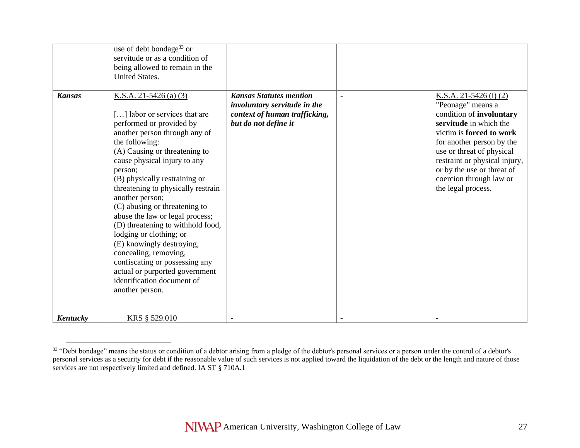|               | use of debt bondage <sup>33</sup> or<br>servitude or as a condition of<br>being allowed to remain in the<br><b>United States.</b>                                                                                                                                                                                                                                                                                                                                                                                                                                                                                             |                                                                                                                         |                |                                                                                                                                                                                                                                                                                                           |
|---------------|-------------------------------------------------------------------------------------------------------------------------------------------------------------------------------------------------------------------------------------------------------------------------------------------------------------------------------------------------------------------------------------------------------------------------------------------------------------------------------------------------------------------------------------------------------------------------------------------------------------------------------|-------------------------------------------------------------------------------------------------------------------------|----------------|-----------------------------------------------------------------------------------------------------------------------------------------------------------------------------------------------------------------------------------------------------------------------------------------------------------|
| <b>Kansas</b> | K.S.A. 21-5426 (a) $(3)$<br>[] labor or services that are<br>performed or provided by<br>another person through any of<br>the following:<br>(A) Causing or threatening to<br>cause physical injury to any<br>person;<br>(B) physically restraining or<br>threatening to physically restrain<br>another person;<br>(C) abusing or threatening to<br>abuse the law or legal process;<br>(D) threatening to withhold food,<br>lodging or clothing; or<br>(E) knowingly destroying,<br>concealing, removing,<br>confiscating or possessing any<br>actual or purported government<br>identification document of<br>another person. | <b>Kansas Statutes mention</b><br>involuntary servitude in the<br>context of human trafficking,<br>but do not define it | $\blacksquare$ | K.S.A. 21-5426 (i) $(2)$<br>"Peonage" means a<br>condition of involuntary<br>servitude in which the<br>victim is forced to work<br>for another person by the<br>use or threat of physical<br>restraint or physical injury,<br>or by the use or threat of<br>coercion through law or<br>the legal process. |
| Kentucky      | KRS § 529.010                                                                                                                                                                                                                                                                                                                                                                                                                                                                                                                                                                                                                 |                                                                                                                         |                | $\blacksquare$                                                                                                                                                                                                                                                                                            |

<sup>&</sup>lt;sup>33</sup> "Debt bondage" means the status or condition of a debtor arising from a pledge of the debtor's personal services or a person under the control of a debtor's personal services as a security for debt if the reasonable value of such services is not applied toward the liquidation of the debt or the length and nature of those services are not respectively limited and defined. IA ST § 710A.1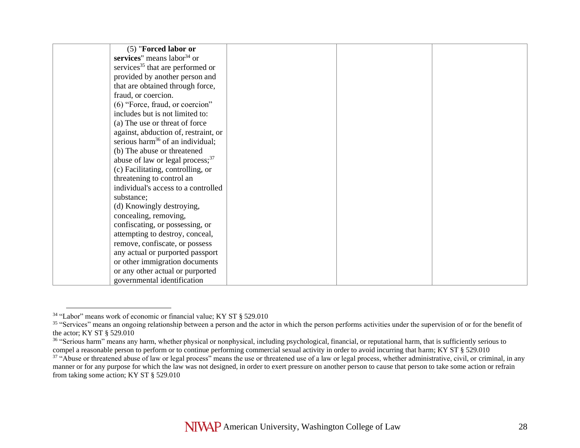| (5) "Forced labor or                         |  |  |
|----------------------------------------------|--|--|
| services" means labor $34$ or                |  |  |
| services <sup>35</sup> that are performed or |  |  |
| provided by another person and               |  |  |
| that are obtained through force,             |  |  |
| fraud, or coercion.                          |  |  |
| (6) "Force, fraud, or coercion"              |  |  |
| includes but is not limited to:              |  |  |
| (a) The use or threat of force               |  |  |
| against, abduction of, restraint, or         |  |  |
| serious harm <sup>36</sup> of an individual; |  |  |
| (b) The abuse or threatened                  |  |  |
| abuse of law or legal process; $37$          |  |  |
| (c) Facilitating, controlling, or            |  |  |
| threatening to control an                    |  |  |
| individual's access to a controlled          |  |  |
| substance;                                   |  |  |
| (d) Knowingly destroying,                    |  |  |
| concealing, removing,                        |  |  |
| confiscating, or possessing, or              |  |  |
| attempting to destroy, conceal,              |  |  |
| remove, confiscate, or possess               |  |  |
| any actual or purported passport             |  |  |
| or other immigration documents               |  |  |
| or any other actual or purported             |  |  |
| governmental identification                  |  |  |

<sup>34</sup> "Labor" means work of economic or financial value; KY ST § 529.010

<sup>&</sup>lt;sup>35</sup> "Services" means an ongoing relationship between a person and the actor in which the person performs activities under the supervision of or for the benefit of the actor; KY ST § 529.010

<sup>&</sup>lt;sup>36</sup> "Serious harm" means any harm, whether physical or nonphysical, including psychological, financial, or reputational harm, that is sufficiently serious to compel a reasonable person to perform or to continue performing commercial sexual activity in order to avoid incurring that harm; KY ST § 529.010

<sup>&</sup>lt;sup>37</sup> "Abuse or threatened abuse of law or legal process" means the use or threatened use of a law or legal process, whether administrative, civil, or criminal, in any manner or for any purpose for which the law was not designed, in order to exert pressure on another person to cause that person to take some action or refrain from taking some action; KY ST § 529.010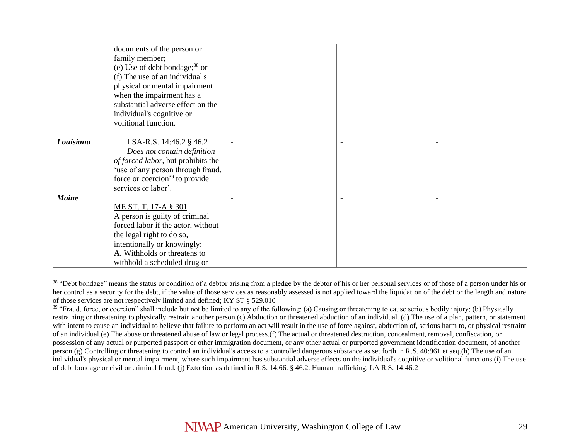|              | documents of the person or                 |                |  |
|--------------|--------------------------------------------|----------------|--|
|              | family member;                             |                |  |
|              | (e) Use of debt bondage; <sup>38</sup> or  |                |  |
|              | (f) The use of an individual's             |                |  |
|              | physical or mental impairment              |                |  |
|              | when the impairment has a                  |                |  |
|              | substantial adverse effect on the          |                |  |
|              | individual's cognitive or                  |                |  |
|              | volitional function.                       |                |  |
|              |                                            |                |  |
| Louisiana    | LSA-R.S. 14:46.2 § 46.2                    | $\blacksquare$ |  |
|              | Does not contain definition                |                |  |
|              | of forced labor, but prohibits the         |                |  |
|              | 'use of any person through fraud,          |                |  |
|              | force or coercion <sup>39</sup> to provide |                |  |
|              | services or labor'.                        |                |  |
| <b>Maine</b> |                                            |                |  |
|              | ME ST. T. 17-A § 301                       |                |  |
|              | A person is guilty of criminal             |                |  |
|              | forced labor if the actor, without         |                |  |
|              | the legal right to do so,                  |                |  |
|              | intentionally or knowingly:                |                |  |
|              | A. Withholds or threatens to               |                |  |
|              | withhold a scheduled drug or               |                |  |

<sup>&</sup>lt;sup>38</sup> "Debt bondage" means the status or condition of a debtor arising from a pledge by the debtor of his or her personal services or of those of a person under his or her control as a security for the debt, if the value of those services as reasonably assessed is not applied toward the liquidation of the debt or the length and nature of those services are not respectively limited and defined; KY ST § 529.010

<sup>&</sup>lt;sup>39</sup> "Fraud, force, or coercion" shall include but not be limited to any of the following: (a) Causing or threatening to cause serious bodily injury; (b) Physically restraining or threatening to physically restrain another person.(c) Abduction or threatened abduction of an individual. (d) The use of a plan, pattern, or statement with intent to cause an individual to believe that failure to perform an act will result in the use of force against, abduction of, serious harm to, or physical restraint of an individual.(e) The abuse or threatened abuse of law or legal process.(f) The actual or threatened destruction, concealment, removal, confiscation, or possession of any actual or purported passport or other immigration document, or any other actual or purported government identification document, of another person.(g) Controlling or threatening to control an individual's access to a controlled dangerous substance as set forth in R.S. 40:961 et seq.(h) The use of an individual's physical or mental impairment, where such impairment has substantial adverse effects on the individual's cognitive or volitional functions.(i) The use of debt bondage or civil or criminal fraud. (j) Extortion as defined in R.S. 14:66. § 46.2. Human trafficking, LA R.S. 14:46.2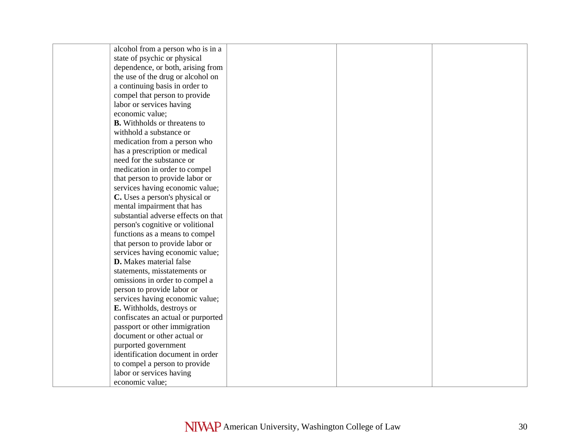| alcohol from a person who is in a   |  |  |
|-------------------------------------|--|--|
| state of psychic or physical        |  |  |
| dependence, or both, arising from   |  |  |
| the use of the drug or alcohol on   |  |  |
| a continuing basis in order to      |  |  |
| compel that person to provide       |  |  |
| labor or services having            |  |  |
| economic value;                     |  |  |
| <b>B.</b> Withholds or threatens to |  |  |
| withhold a substance or             |  |  |
| medication from a person who        |  |  |
| has a prescription or medical       |  |  |
| need for the substance or           |  |  |
| medication in order to compel       |  |  |
| that person to provide labor or     |  |  |
| services having economic value;     |  |  |
| C. Uses a person's physical or      |  |  |
| mental impairment that has          |  |  |
| substantial adverse effects on that |  |  |
| person's cognitive or volitional    |  |  |
| functions as a means to compel      |  |  |
| that person to provide labor or     |  |  |
| services having economic value;     |  |  |
| <b>D.</b> Makes material false      |  |  |
| statements, misstatements or        |  |  |
| omissions in order to compel a      |  |  |
| person to provide labor or          |  |  |
| services having economic value;     |  |  |
| E. Withholds, destroys or           |  |  |
| confiscates an actual or purported  |  |  |
| passport or other immigration       |  |  |
| document or other actual or         |  |  |
| purported government                |  |  |
| identification document in order    |  |  |
| to compel a person to provide       |  |  |
| labor or services having            |  |  |
| economic value;                     |  |  |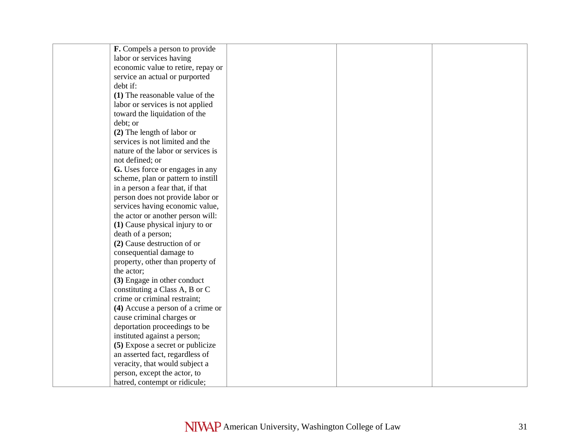| <b>F.</b> Compels a person to provide |  |  |
|---------------------------------------|--|--|
| labor or services having              |  |  |
| economic value to retire, repay or    |  |  |
| service an actual or purported        |  |  |
| debt if:                              |  |  |
| (1) The reasonable value of the       |  |  |
| labor or services is not applied      |  |  |
| toward the liquidation of the         |  |  |
| debt; or                              |  |  |
| (2) The length of labor or            |  |  |
| services is not limited and the       |  |  |
| nature of the labor or services is    |  |  |
| not defined; or                       |  |  |
| G. Uses force or engages in any       |  |  |
| scheme, plan or pattern to instill    |  |  |
| in a person a fear that, if that      |  |  |
| person does not provide labor or      |  |  |
| services having economic value,       |  |  |
| the actor or another person will:     |  |  |
| (1) Cause physical injury to or       |  |  |
| death of a person;                    |  |  |
| (2) Cause destruction of or           |  |  |
| consequential damage to               |  |  |
| property, other than property of      |  |  |
| the actor;                            |  |  |
| (3) Engage in other conduct           |  |  |
| constituting a Class A, B or C        |  |  |
| crime or criminal restraint;          |  |  |
| (4) Accuse a person of a crime or     |  |  |
| cause criminal charges or             |  |  |
| deportation proceedings to be         |  |  |
| instituted against a person;          |  |  |
| (5) Expose a secret or publicize      |  |  |
| an asserted fact, regardless of       |  |  |
| veracity, that would subject a        |  |  |
| person, except the actor, to          |  |  |
| hatred, contempt or ridicule;         |  |  |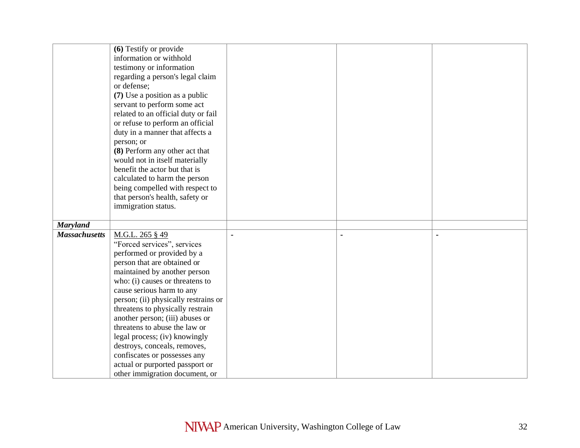|                      | (6) Testify or provide               |  |  |
|----------------------|--------------------------------------|--|--|
|                      | information or withhold              |  |  |
|                      | testimony or information             |  |  |
|                      | regarding a person's legal claim     |  |  |
|                      | or defense;                          |  |  |
|                      | (7) Use a position as a public       |  |  |
|                      | servant to perform some act          |  |  |
|                      | related to an official duty or fail  |  |  |
|                      | or refuse to perform an official     |  |  |
|                      | duty in a manner that affects a      |  |  |
|                      | person; or                           |  |  |
|                      | (8) Perform any other act that       |  |  |
|                      | would not in itself materially       |  |  |
|                      | benefit the actor but that is        |  |  |
|                      | calculated to harm the person        |  |  |
|                      | being compelled with respect to      |  |  |
|                      | that person's health, safety or      |  |  |
|                      | immigration status.                  |  |  |
|                      |                                      |  |  |
| <b>Maryland</b>      |                                      |  |  |
| <b>Massachusetts</b> | M.G.L. 265 § 49                      |  |  |
|                      | "Forced services", services          |  |  |
|                      | performed or provided by a           |  |  |
|                      | person that are obtained or          |  |  |
|                      | maintained by another person         |  |  |
|                      | who: (i) causes or threatens to      |  |  |
|                      | cause serious harm to any            |  |  |
|                      | person; (ii) physically restrains or |  |  |
|                      | threatens to physically restrain     |  |  |
|                      | another person; (iii) abuses or      |  |  |
|                      | threatens to abuse the law or        |  |  |
|                      | legal process; (iv) knowingly        |  |  |
|                      | destroys, conceals, removes,         |  |  |
|                      | confiscates or possesses any         |  |  |
|                      | actual or purported passport or      |  |  |
|                      | other immigration document, or       |  |  |
|                      |                                      |  |  |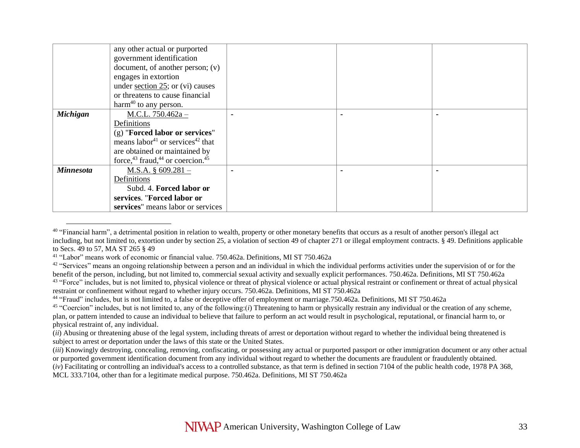|                  | any other actual or purported                            |  |  |
|------------------|----------------------------------------------------------|--|--|
|                  | government identification                                |  |  |
|                  | document, of another person; $(v)$                       |  |  |
|                  | engages in extortion                                     |  |  |
|                  | under section 25; or $(vi)$ causes                       |  |  |
|                  | or threatens to cause financial                          |  |  |
|                  | harm <sup>40</sup> to any person.                        |  |  |
| <b>Michigan</b>  | M.C.L. 750.462a -                                        |  |  |
|                  | Definitions                                              |  |  |
|                  | $(g)$ "Forced labor or services"                         |  |  |
|                  | means labor <sup>41</sup> or services <sup>42</sup> that |  |  |
|                  | are obtained or maintained by                            |  |  |
|                  | force, $43$ fraud, $44$ or coercion. $45$                |  |  |
| <b>Minnesota</b> | M.S.A. $§$ 609.281 –                                     |  |  |
|                  | Definitions                                              |  |  |
|                  | Subd. 4. Forced labor or                                 |  |  |
|                  | services. "Forced labor or                               |  |  |
|                  | services" means labor or services                        |  |  |

<sup>&</sup>lt;sup>40</sup> "Financial harm", a detrimental position in relation to wealth, property or other monetary benefits that occurs as a result of another person's illegal act including, but not limited to, extortion under by section 25, a violation of section 49 of chapter 271 or illegal employment contracts. § 49. Definitions applicable to Secs. 49 to 57, MA ST 265 § 49

<sup>41</sup> "Labor" means work of economic or financial value. 750.462a. Definitions, MI ST 750.462a

<sup>&</sup>lt;sup>42</sup> "Services" means an ongoing relationship between a person and an individual in which the individual performs activities under the supervision of or for the benefit of the person, including, but not limited to, commercial sexual activity and sexually explicit performances. 750.462a. Definitions, MI ST 750.462a

<sup>&</sup>lt;sup>43</sup> "Force" includes, but is not limited to, physical violence or threat of physical violence or actual physical restraint or confinement or threat of actual physical restraint or confinement without regard to whether injury occurs. 750.462a. Definitions, MI ST 750.462a

<sup>44</sup> "Fraud" includes, but is not limited to, a false or deceptive offer of employment or marriage.750.462a. Definitions, MI ST 750.462a

<sup>&</sup>lt;sup>45</sup> "Coercion" includes, but is not limited to, any of the following:(*i*) Threatening to harm or physically restrain any individual or the creation of any scheme, plan, or pattern intended to cause an individual to believe that failure to perform an act would result in psychological, reputational, or financial harm to, or physical restraint of, any individual.

<sup>(</sup>*ii*) Abusing or threatening abuse of the legal system, including threats of arrest or deportation without regard to whether the individual being threatened is subject to arrest or deportation under the laws of this state or the United States.

<sup>(</sup>*iii*) Knowingly destroying, concealing, removing, confiscating, or possessing any actual or purported passport or other immigration document or any other actual or purported government identification document from any individual without regard to whether the documents are fraudulent or fraudulently obtained.

<sup>(</sup>*iv*) Facilitating or controlling an individual's access to a controlled substance, as that term is defined in section 7104 of the public health code, 1978 PA 368, MCL 333.7104, other than for a legitimate medical purpose. 750.462a. Definitions, MI ST 750.462a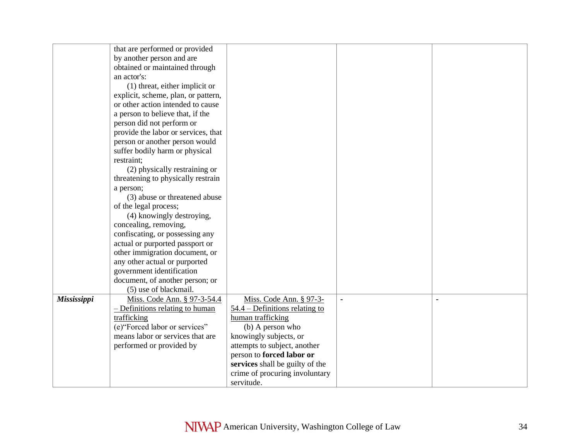|             | that are performed or provided      |                                  |  |
|-------------|-------------------------------------|----------------------------------|--|
|             | by another person and are           |                                  |  |
|             | obtained or maintained through      |                                  |  |
|             | an actor's:                         |                                  |  |
|             | (1) threat, either implicit or      |                                  |  |
|             | explicit, scheme, plan, or pattern, |                                  |  |
|             | or other action intended to cause   |                                  |  |
|             | a person to believe that, if the    |                                  |  |
|             | person did not perform or           |                                  |  |
|             | provide the labor or services, that |                                  |  |
|             | person or another person would      |                                  |  |
|             | suffer bodily harm or physical      |                                  |  |
|             | restraint;                          |                                  |  |
|             | (2) physically restraining or       |                                  |  |
|             | threatening to physically restrain  |                                  |  |
|             | a person;                           |                                  |  |
|             | (3) abuse or threatened abuse       |                                  |  |
|             | of the legal process;               |                                  |  |
|             | (4) knowingly destroying,           |                                  |  |
|             | concealing, removing,               |                                  |  |
|             | confiscating, or possessing any     |                                  |  |
|             | actual or purported passport or     |                                  |  |
|             | other immigration document, or      |                                  |  |
|             | any other actual or purported       |                                  |  |
|             | government identification           |                                  |  |
|             | document, of another person; or     |                                  |  |
|             | (5) use of blackmail.               |                                  |  |
| Mississippi | Miss. Code Ann. § 97-3-54.4         | Miss. Code Ann. § 97-3-          |  |
|             | - Definitions relating to human     | $54.4$ – Definitions relating to |  |
|             | trafficking                         | human trafficking                |  |
|             | (e)"Forced labor or services"       | (b) A person who                 |  |
|             | means labor or services that are    | knowingly subjects, or           |  |
|             | performed or provided by            | attempts to subject, another     |  |
|             |                                     | person to forced labor or        |  |
|             |                                     | services shall be guilty of the  |  |
|             |                                     | crime of procuring involuntary   |  |
|             |                                     | servitude.                       |  |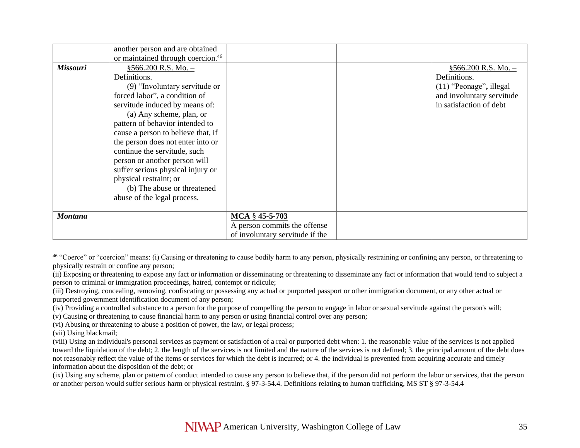|                 | another person and are obtained               |                                 |                           |
|-----------------|-----------------------------------------------|---------------------------------|---------------------------|
|                 | or maintained through coercion. <sup>46</sup> |                                 |                           |
| <b>Missouri</b> | $§566.200$ R.S. Mo. -                         |                                 | $§566.200$ R.S. Mo. -     |
|                 | Definitions.                                  |                                 | Definitions.              |
|                 | (9) "Involuntary servitude or                 |                                 | $(11)$ "Peonage", illegal |
|                 | forced labor", a condition of                 |                                 | and involuntary servitude |
|                 | servitude induced by means of:                |                                 | in satisfaction of debt   |
|                 | (a) Any scheme, plan, or                      |                                 |                           |
|                 | pattern of behavior intended to               |                                 |                           |
|                 | cause a person to believe that, if            |                                 |                           |
|                 | the person does not enter into or             |                                 |                           |
|                 | continue the servitude, such                  |                                 |                           |
|                 | person or another person will                 |                                 |                           |
|                 | suffer serious physical injury or             |                                 |                           |
|                 | physical restraint; or                        |                                 |                           |
|                 | (b) The abuse or threatened                   |                                 |                           |
|                 | abuse of the legal process.                   |                                 |                           |
|                 |                                               |                                 |                           |
| <b>Montana</b>  |                                               | MCA $§$ 45-5-703                |                           |
|                 |                                               | A person commits the offense    |                           |
|                 |                                               | of involuntary servitude if the |                           |

<sup>&</sup>lt;sup>46</sup> "Coerce" or "coercion" means: (i) Causing or threatening to cause bodily harm to any person, physically restraining or confining any person, or threatening to physically restrain or confine any person;

<sup>(</sup>ii) Exposing or threatening to expose any fact or information or disseminating or threatening to disseminate any fact or information that would tend to subject a person to criminal or immigration proceedings, hatred, contempt or ridicule;

<sup>(</sup>iii) Destroying, concealing, removing, confiscating or possessing any actual or purported passport or other immigration document, or any other actual or purported government identification document of any person;

<sup>(</sup>iv) Providing a controlled substance to a person for the purpose of compelling the person to engage in labor or sexual servitude against the person's will;

<sup>(</sup>v) Causing or threatening to cause financial harm to any person or using financial control over any person;

<sup>(</sup>vi) Abusing or threatening to abuse a position of power, the law, or legal process;

<sup>(</sup>vii) Using blackmail;

<sup>(</sup>viii) Using an individual's personal services as payment or satisfaction of a real or purported debt when: 1. the reasonable value of the services is not applied toward the liquidation of the debt; 2. the length of the services is not limited and the nature of the services is not defined; 3. the principal amount of the debt does not reasonably reflect the value of the items or services for which the debt is incurred; or 4. the individual is prevented from acquiring accurate and timely information about the disposition of the debt; or

<sup>(</sup>ix) Using any scheme, plan or pattern of conduct intended to cause any person to believe that, if the person did not perform the labor or services, that the person or another person would suffer serious harm or physical restraint. § 97-3-54.4. Definitions relating to human trafficking, MS ST § 97-3-54.4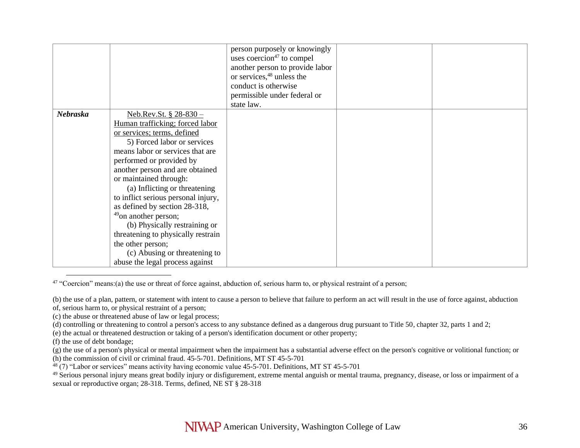|          |                                     | person purposely or knowingly         |  |
|----------|-------------------------------------|---------------------------------------|--|
|          |                                     | uses coercion $47$ to compel          |  |
|          |                                     | another person to provide labor       |  |
|          |                                     | or services, <sup>48</sup> unless the |  |
|          |                                     | conduct is otherwise                  |  |
|          |                                     | permissible under federal or          |  |
|          |                                     | state law.                            |  |
| Nebraska | Neb.Rev.St. $§ 28-830-$             |                                       |  |
|          | Human trafficking; forced labor     |                                       |  |
|          | or services; terms, defined         |                                       |  |
|          | 5) Forced labor or services         |                                       |  |
|          | means labor or services that are    |                                       |  |
|          | performed or provided by            |                                       |  |
|          | another person and are obtained     |                                       |  |
|          | or maintained through:              |                                       |  |
|          | (a) Inflicting or threatening       |                                       |  |
|          | to inflict serious personal injury, |                                       |  |
|          | as defined by section 28-318,       |                                       |  |
|          | $49$ on another person;             |                                       |  |
|          | (b) Physically restraining or       |                                       |  |
|          | threatening to physically restrain  |                                       |  |
|          | the other person;                   |                                       |  |
|          | (c) Abusing or threatening to       |                                       |  |
|          | abuse the legal process against     |                                       |  |

<sup>47</sup> "Coercion" means:(a) the use or threat of force against, abduction of, serious harm to, or physical restraint of a person;

(e) the actual or threatened destruction or taking of a person's identification document or other property;

<sup>(</sup>b) the use of a plan, pattern, or statement with intent to cause a person to believe that failure to perform an act will result in the use of force against, abduction

of, serious harm to, or physical restraint of a person;

<sup>(</sup>c) the abuse or threatened abuse of law or legal process;

<sup>(</sup>d) controlling or threatening to control a person's access to any substance defined as a dangerous drug pursuant to Title 50, chapter 32, parts 1 and 2;

<sup>(</sup>f) the use of debt bondage;

<sup>(</sup>g) the use of a person's physical or mental impairment when the impairment has a substantial adverse effect on the person's cognitive or volitional function; or (h) the commission of civil or criminal fraud. 45-5-701. Definitions, MT ST 45-5-701

<sup>48</sup> (7) "Labor or services" means activity having economic value 45-5-701. Definitions, MT ST 45-5-701

<sup>&</sup>lt;sup>49</sup> Serious personal injury means great bodily injury or disfigurement, extreme mental anguish or mental trauma, pregnancy, disease, or loss or impairment of a sexual or reproductive organ; 28-318. Terms, defined, NE ST § 28-318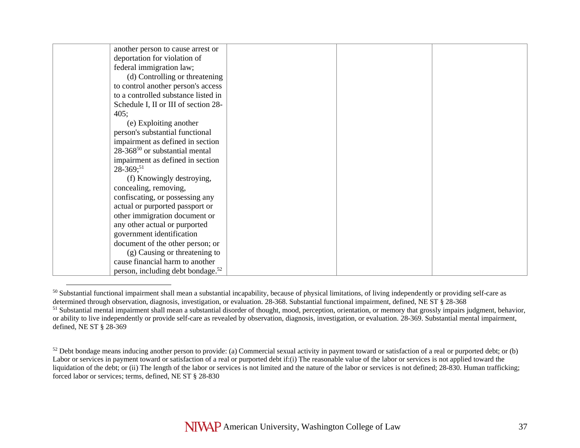| another person to cause arrest or             |  |  |
|-----------------------------------------------|--|--|
| deportation for violation of                  |  |  |
| federal immigration law;                      |  |  |
| (d) Controlling or threatening                |  |  |
| to control another person's access            |  |  |
| to a controlled substance listed in           |  |  |
| Schedule I, II or III of section 28-          |  |  |
| 405;                                          |  |  |
| (e) Exploiting another                        |  |  |
| person's substantial functional               |  |  |
| impairment as defined in section              |  |  |
| $28-368^{50}$ or substantial mental           |  |  |
| impairment as defined in section              |  |  |
| $28-369;^{51}$                                |  |  |
| (f) Knowingly destroying,                     |  |  |
| concealing, removing,                         |  |  |
| confiscating, or possessing any               |  |  |
| actual or purported passport or               |  |  |
| other immigration document or                 |  |  |
| any other actual or purported                 |  |  |
| government identification                     |  |  |
| document of the other person; or              |  |  |
| (g) Causing or threatening to                 |  |  |
| cause financial harm to another               |  |  |
| person, including debt bondage. <sup>52</sup> |  |  |

<sup>&</sup>lt;sup>50</sup> Substantial functional impairment shall mean a substantial incapability, because of physical limitations, of living independently or providing self-care as determined through observation, diagnosis, investigation, or evaluation. 28-368. Substantial functional impairment, defined, NE ST § 28-368 <sup>51</sup> Substantial mental impairment shall mean a substantial disorder of thought, mood, perception, orientation, or memory that grossly impairs judgment, behavior,

or ability to live independently or provide self-care as revealed by observation, diagnosis, investigation, or evaluation. 28-369. Substantial mental impairment, defined, NE ST § 28-369

 $52$  Debt bondage means inducing another person to provide: (a) Commercial sexual activity in payment toward or satisfaction of a real or purported debt; or (b) Labor or services in payment toward or satisfaction of a real or purported debt if:(i) The reasonable value of the labor or services is not applied toward the liquidation of the debt; or (ii) The length of the labor or services is not limited and the nature of the labor or services is not defined; 28-830. Human trafficking; forced labor or services; terms, defined, NE ST § 28-830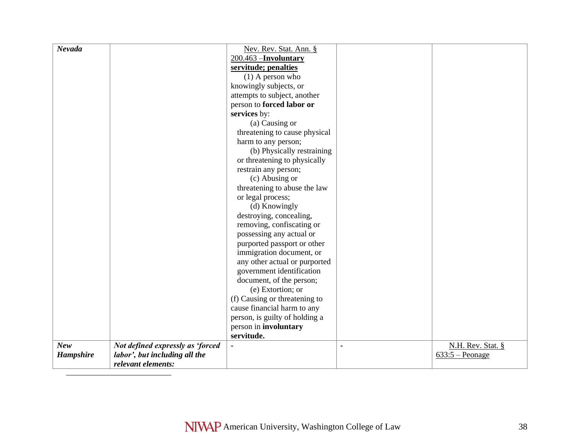| Nevada           |                                  | Nev. Rev. Stat. Ann. §         |                |                   |
|------------------|----------------------------------|--------------------------------|----------------|-------------------|
|                  |                                  | 200.463 - Involuntary          |                |                   |
|                  |                                  | servitude; penalties           |                |                   |
|                  |                                  | $(1)$ A person who             |                |                   |
|                  |                                  | knowingly subjects, or         |                |                   |
|                  |                                  | attempts to subject, another   |                |                   |
|                  |                                  | person to forced labor or      |                |                   |
|                  |                                  | services by:                   |                |                   |
|                  |                                  | (a) Causing or                 |                |                   |
|                  |                                  | threatening to cause physical  |                |                   |
|                  |                                  | harm to any person;            |                |                   |
|                  |                                  | (b) Physically restraining     |                |                   |
|                  |                                  | or threatening to physically   |                |                   |
|                  |                                  | restrain any person;           |                |                   |
|                  |                                  | (c) Abusing or                 |                |                   |
|                  |                                  | threatening to abuse the law   |                |                   |
|                  |                                  | or legal process;              |                |                   |
|                  |                                  | (d) Knowingly                  |                |                   |
|                  |                                  | destroying, concealing,        |                |                   |
|                  |                                  | removing, confiscating or      |                |                   |
|                  |                                  | possessing any actual or       |                |                   |
|                  |                                  | purported passport or other    |                |                   |
|                  |                                  | immigration document, or       |                |                   |
|                  |                                  | any other actual or purported  |                |                   |
|                  |                                  | government identification      |                |                   |
|                  |                                  | document, of the person;       |                |                   |
|                  |                                  | (e) Extortion; or              |                |                   |
|                  |                                  | (f) Causing or threatening to  |                |                   |
|                  |                                  | cause financial harm to any    |                |                   |
|                  |                                  | person, is guilty of holding a |                |                   |
|                  |                                  | person in involuntary          |                |                   |
|                  |                                  | servitude.                     |                |                   |
| <b>New</b>       | Not defined expressly as 'forced | $\blacksquare$                 | $\blacksquare$ | N.H. Rev. Stat. § |
| <b>Hampshire</b> | labor', but including all the    |                                |                | $633:5 - Poonge$  |
|                  | relevant elements:               |                                |                |                   |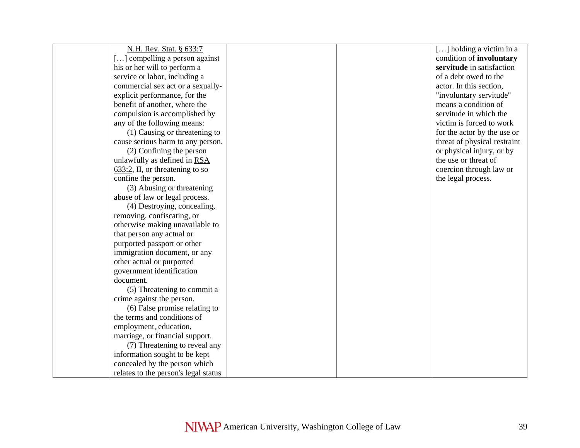| N.H. Rev. Stat. § 633:7              |  | $\left[ \ldots \right]$ holding a victim in a |
|--------------------------------------|--|-----------------------------------------------|
| [] compelling a person against       |  | condition of involuntary                      |
| his or her will to perform a         |  | servitude in satisfaction                     |
| service or labor, including a        |  | of a debt owed to the                         |
| commercial sex act or a sexually-    |  | actor. In this section,                       |
| explicit performance, for the        |  | "involuntary servitude"                       |
| benefit of another, where the        |  | means a condition of                          |
| compulsion is accomplished by        |  | servitude in which the                        |
| any of the following means:          |  | victim is forced to work                      |
| (1) Causing or threatening to        |  | for the actor by the use or                   |
| cause serious harm to any person.    |  | threat of physical restraint                  |
| (2) Confining the person             |  | or physical injury, or by                     |
| unlawfully as defined in RSA         |  | the use or threat of                          |
| $633:2$ , II, or threatening to so   |  | coercion through law or                       |
| confine the person.                  |  | the legal process.                            |
| (3) Abusing or threatening           |  |                                               |
| abuse of law or legal process.       |  |                                               |
| (4) Destroying, concealing,          |  |                                               |
| removing, confiscating, or           |  |                                               |
| otherwise making unavailable to      |  |                                               |
| that person any actual or            |  |                                               |
| purported passport or other          |  |                                               |
| immigration document, or any         |  |                                               |
| other actual or purported            |  |                                               |
| government identification            |  |                                               |
| document.                            |  |                                               |
| (5) Threatening to commit a          |  |                                               |
| crime against the person.            |  |                                               |
| (6) False promise relating to        |  |                                               |
| the terms and conditions of          |  |                                               |
| employment, education,               |  |                                               |
| marriage, or financial support.      |  |                                               |
| (7) Threatening to reveal any        |  |                                               |
| information sought to be kept        |  |                                               |
| concealed by the person which        |  |                                               |
| relates to the person's legal status |  |                                               |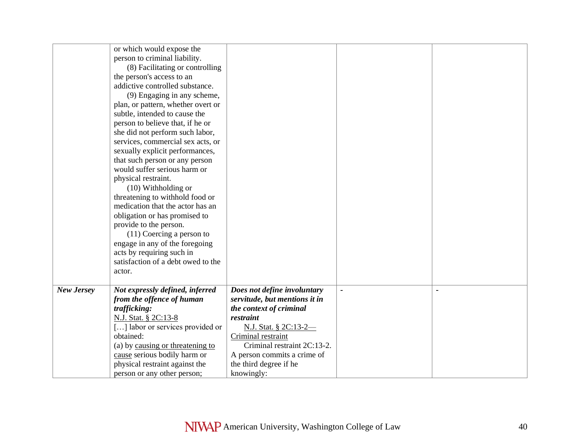|                   | or which would expose the          |                               |                |                |
|-------------------|------------------------------------|-------------------------------|----------------|----------------|
|                   | person to criminal liability.      |                               |                |                |
|                   | (8) Facilitating or controlling    |                               |                |                |
|                   | the person's access to an          |                               |                |                |
|                   | addictive controlled substance.    |                               |                |                |
|                   | (9) Engaging in any scheme,        |                               |                |                |
|                   | plan, or pattern, whether overt or |                               |                |                |
|                   | subtle, intended to cause the      |                               |                |                |
|                   | person to believe that, if he or   |                               |                |                |
|                   | she did not perform such labor,    |                               |                |                |
|                   | services, commercial sex acts, or  |                               |                |                |
|                   | sexually explicit performances,    |                               |                |                |
|                   | that such person or any person     |                               |                |                |
|                   | would suffer serious harm or       |                               |                |                |
|                   | physical restraint.                |                               |                |                |
|                   | $(10)$ Withholding or              |                               |                |                |
|                   | threatening to withhold food or    |                               |                |                |
|                   | medication that the actor has an   |                               |                |                |
|                   | obligation or has promised to      |                               |                |                |
|                   | provide to the person.             |                               |                |                |
|                   | $(11)$ Coercing a person to        |                               |                |                |
|                   | engage in any of the foregoing     |                               |                |                |
|                   | acts by requiring such in          |                               |                |                |
|                   | satisfaction of a debt owed to the |                               |                |                |
|                   | actor.                             |                               |                |                |
|                   |                                    |                               |                |                |
| <b>New Jersey</b> | Not expressly defined, inferred    | Does not define involuntary   | $\blacksquare$ | $\blacksquare$ |
|                   | from the offence of human          | servitude, but mentions it in |                |                |
|                   | trafficking:                       | the context of criminal       |                |                |
|                   | N.J. Stat. § 2C:13-8               | restraint                     |                |                |
|                   | [] labor or services provided or   | N.J. Stat. § 2C:13-2-         |                |                |
|                   | obtained:                          | Criminal restraint            |                |                |
|                   | (a) by causing or threatening to   | Criminal restraint 2C:13-2.   |                |                |
|                   | cause serious bodily harm or       | A person commits a crime of   |                |                |
|                   | physical restraint against the     | the third degree if he        |                |                |
|                   | person or any other person;        | knowingly:                    |                |                |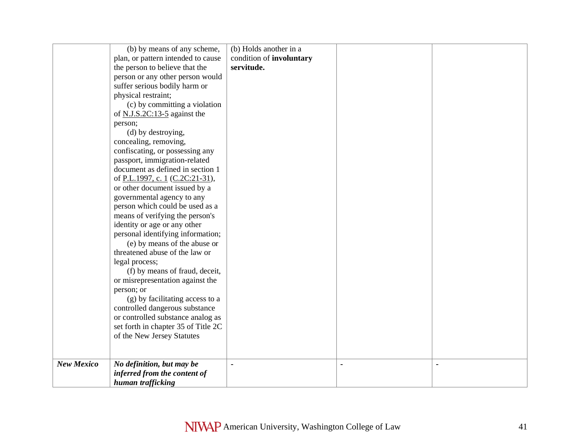|                   | (b) by means of any scheme,         | (b) Holds another in a   |  |
|-------------------|-------------------------------------|--------------------------|--|
|                   | plan, or pattern intended to cause  | condition of involuntary |  |
|                   | the person to believe that the      | servitude.               |  |
|                   | person or any other person would    |                          |  |
|                   | suffer serious bodily harm or       |                          |  |
|                   | physical restraint;                 |                          |  |
|                   |                                     |                          |  |
|                   | (c) by committing a violation       |                          |  |
|                   | of $N.I.S.2C:13-5$ against the      |                          |  |
|                   | person;                             |                          |  |
|                   | (d) by destroying,                  |                          |  |
|                   | concealing, removing,               |                          |  |
|                   | confiscating, or possessing any     |                          |  |
|                   | passport, immigration-related       |                          |  |
|                   | document as defined in section 1    |                          |  |
|                   | of P.L.1997, c. 1 (C.2C:21-31),     |                          |  |
|                   | or other document issued by a       |                          |  |
|                   | governmental agency to any          |                          |  |
|                   | person which could be used as a     |                          |  |
|                   | means of verifying the person's     |                          |  |
|                   | identity or age or any other        |                          |  |
|                   | personal identifying information;   |                          |  |
|                   | (e) by means of the abuse or        |                          |  |
|                   | threatened abuse of the law or      |                          |  |
|                   | legal process;                      |                          |  |
|                   | (f) by means of fraud, deceit,      |                          |  |
|                   | or misrepresentation against the    |                          |  |
|                   | person; or                          |                          |  |
|                   | (g) by facilitating access to a     |                          |  |
|                   | controlled dangerous substance      |                          |  |
|                   | or controlled substance analog as   |                          |  |
|                   | set forth in chapter 35 of Title 2C |                          |  |
|                   | of the New Jersey Statutes          |                          |  |
|                   |                                     |                          |  |
|                   |                                     |                          |  |
| <b>New Mexico</b> | No definition, but may be           |                          |  |
|                   | inferred from the content of        |                          |  |
|                   | human trafficking                   |                          |  |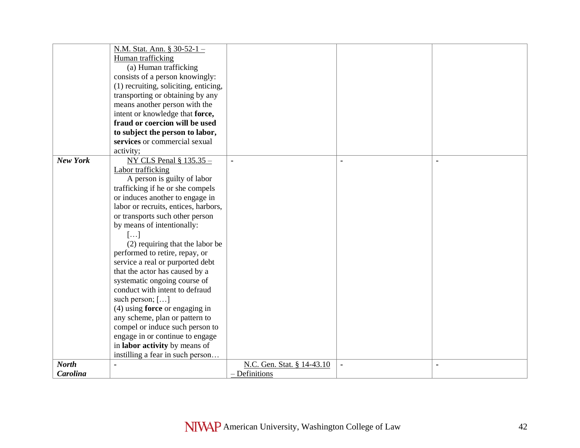| N.M. Stat. Ann. § 30-52-1 -                                       |                            |                |
|-------------------------------------------------------------------|----------------------------|----------------|
| Human trafficking                                                 |                            |                |
| (a) Human trafficking                                             |                            |                |
| consists of a person knowingly:                                   |                            |                |
| (1) recruiting, soliciting, enticing,                             |                            |                |
| transporting or obtaining by any                                  |                            |                |
|                                                                   |                            |                |
| means another person with the                                     |                            |                |
| intent or knowledge that force,<br>fraud or coercion will be used |                            |                |
|                                                                   |                            |                |
| to subject the person to labor,                                   |                            |                |
| services or commercial sexual                                     |                            |                |
| activity;                                                         |                            |                |
| <b>New York</b><br>NY CLS Penal $§$ 135.35 –                      | $\blacksquare$             | ÷              |
| <b>Labor</b> trafficking                                          |                            |                |
| A person is guilty of labor                                       |                            |                |
| trafficking if he or she compels                                  |                            |                |
| or induces another to engage in                                   |                            |                |
| labor or recruits, entices, harbors,                              |                            |                |
| or transports such other person                                   |                            |                |
| by means of intentionally:                                        |                            |                |
| []                                                                |                            |                |
| (2) requiring that the labor be                                   |                            |                |
| performed to retire, repay, or                                    |                            |                |
| service a real or purported debt                                  |                            |                |
| that the actor has caused by a                                    |                            |                |
| systematic ongoing course of                                      |                            |                |
| conduct with intent to defraud                                    |                            |                |
| such person; []                                                   |                            |                |
| $(4)$ using <b>force</b> or engaging in                           |                            |                |
| any scheme, plan or pattern to                                    |                            |                |
| compel or induce such person to                                   |                            |                |
| engage in or continue to engage                                   |                            |                |
| in labor activity by means of                                     |                            |                |
| instilling a fear in such person                                  |                            |                |
| <b>North</b>                                                      | N.C. Gen. Stat. § 14-43.10 | $\blacksquare$ |
| <b>Carolina</b>                                                   | - Definitions              |                |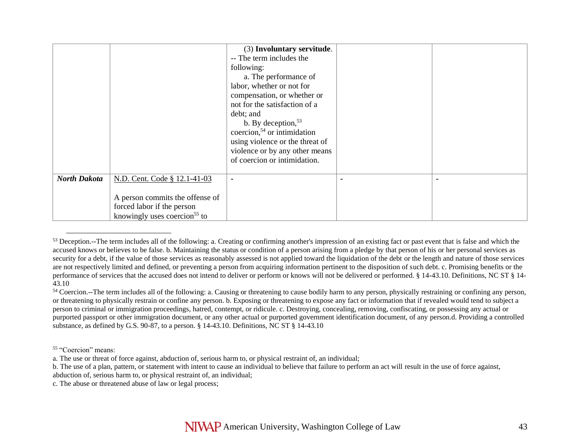|                     |                                          | (3) Involuntary servitude.      |  |
|---------------------|------------------------------------------|---------------------------------|--|
|                     |                                          | -- The term includes the        |  |
|                     |                                          | following:                      |  |
|                     |                                          | a. The performance of           |  |
|                     |                                          | labor, whether or not for       |  |
|                     |                                          | compensation, or whether or     |  |
|                     |                                          | not for the satisfaction of a   |  |
|                     |                                          | debt; and                       |  |
|                     |                                          | b. By deception, $53$           |  |
|                     |                                          | coercion, $54$ or intimidation  |  |
|                     |                                          | using violence or the threat of |  |
|                     |                                          | violence or by any other means  |  |
|                     |                                          | of coercion or intimidation.    |  |
|                     |                                          |                                 |  |
| <b>North Dakota</b> | N.D. Cent. Code § 12.1-41-03             | $\blacksquare$                  |  |
|                     |                                          |                                 |  |
|                     | A person commits the offense of          |                                 |  |
|                     | forced labor if the person               |                                 |  |
|                     | knowingly uses coercion <sup>55</sup> to |                                 |  |

<sup>&</sup>lt;sup>53</sup> Deception.--The term includes all of the following: a. Creating or confirming another's impression of an existing fact or past event that is false and which the accused knows or believes to be false. b. Maintaining the status or condition of a person arising from a pledge by that person of his or her personal services as security for a debt, if the value of those services as reasonably assessed is not applied toward the liquidation of the debt or the length and nature of those services are not respectively limited and defined, or preventing a person from acquiring information pertinent to the disposition of such debt. c. Promising benefits or the performance of services that the accused does not intend to deliver or perform or knows will not be delivered or performed. § 14-43.10. Definitions, NC ST § 14- 43.10

<sup>55</sup> "Coercion" means:

<sup>&</sup>lt;sup>54</sup> Coercion.--The term includes all of the following: a. Causing or threatening to cause bodily harm to any person, physically restraining or confining any person, or threatening to physically restrain or confine any person. b. Exposing or threatening to expose any fact or information that if revealed would tend to subject a person to criminal or immigration proceedings, hatred, contempt, or ridicule. c. Destroying, concealing, removing, confiscating, or possessing any actual or purported passport or other immigration document, or any other actual or purported government identification document, of any person.d. Providing a controlled substance, as defined by G.S. 90-87, to a person. § 14-43.10. Definitions, NC ST § 14-43.10

a. The use or threat of force against, abduction of, serious harm to, or physical restraint of, an individual;

b. The use of a plan, pattern, or statement with intent to cause an individual to believe that failure to perform an act will result in the use of force against, abduction of, serious harm to, or physical restraint of, an individual;

c. The abuse or threatened abuse of law or legal process;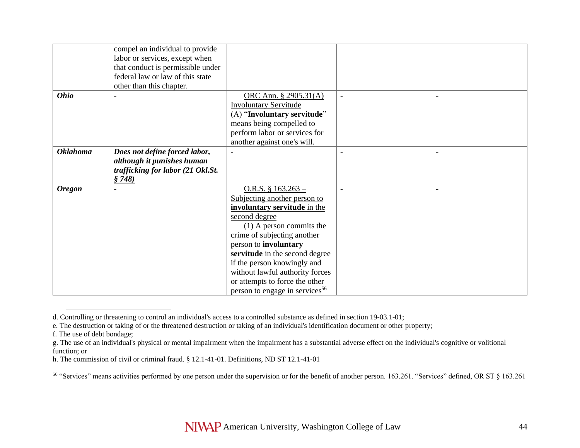|                 | compel an individual to provide   |                                            |                |   |
|-----------------|-----------------------------------|--------------------------------------------|----------------|---|
|                 | labor or services, except when    |                                            |                |   |
|                 | that conduct is permissible under |                                            |                |   |
|                 | federal law or law of this state  |                                            |                |   |
|                 | other than this chapter.          |                                            |                |   |
| <b>Ohio</b>     |                                   | ORC Ann. § 2905.31(A)                      |                |   |
|                 |                                   | <b>Involuntary Servitude</b>               |                |   |
|                 |                                   | (A) "Involuntary servitude"                |                |   |
|                 |                                   | means being compelled to                   |                |   |
|                 |                                   | perform labor or services for              |                |   |
|                 |                                   | another against one's will.                |                |   |
| <b>Oklahoma</b> | Does not define forced labor,     | $\blacksquare$                             | $\blacksquare$ | ٠ |
|                 | although it punishes human        |                                            |                |   |
|                 | trafficking for labor (21 Okl.St. |                                            |                |   |
|                 | \$748)                            |                                            |                |   |
| <b>Oregon</b>   |                                   | O.R.S. § $163.263 -$                       |                |   |
|                 |                                   | Subjecting another person to               |                |   |
|                 |                                   | involuntary servitude in the               |                |   |
|                 |                                   | second degree                              |                |   |
|                 |                                   | $(1)$ A person commits the                 |                |   |
|                 |                                   | crime of subjecting another                |                |   |
|                 |                                   | person to involuntary                      |                |   |
|                 |                                   | servitude in the second degree             |                |   |
|                 |                                   | if the person knowingly and                |                |   |
|                 |                                   | without lawful authority forces            |                |   |
|                 |                                   | or attempts to force the other             |                |   |
|                 |                                   | person to engage in services <sup>56</sup> |                |   |

d. Controlling or threatening to control an individual's access to a controlled substance as defined in section 19-03.1-01;

e. The destruction or taking of or the threatened destruction or taking of an individual's identification document or other property;

f. The use of debt bondage;

g. The use of an individual's physical or mental impairment when the impairment has a substantial adverse effect on the individual's cognitive or volitional function; or

h. The commission of civil or criminal fraud. § 12.1-41-01. Definitions, ND ST 12.1-41-01

<sup>&</sup>lt;sup>56</sup> "Services" means activities performed by one person under the supervision or for the benefit of another person. 163.261. "Services" defined, OR ST § 163.261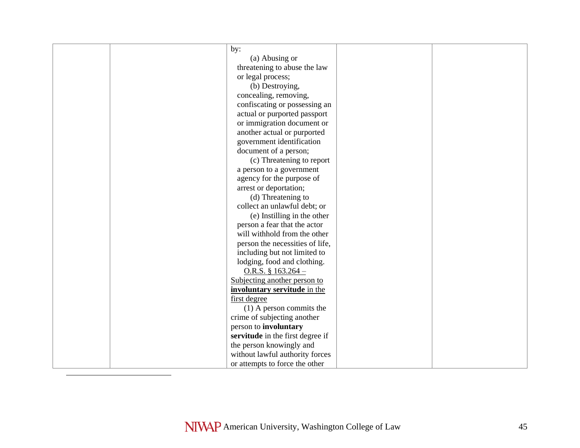| by:                              |  |
|----------------------------------|--|
| (a) Abusing or                   |  |
| threatening to abuse the law     |  |
| or legal process;                |  |
| (b) Destroying,                  |  |
| concealing, removing,            |  |
| confiscating or possessing an    |  |
|                                  |  |
| actual or purported passport     |  |
| or immigration document or       |  |
| another actual or purported      |  |
| government identification        |  |
| document of a person;            |  |
| (c) Threatening to report        |  |
| a person to a government         |  |
| agency for the purpose of        |  |
| arrest or deportation;           |  |
| (d) Threatening to               |  |
| collect an unlawful debt; or     |  |
| (e) Instilling in the other      |  |
| person a fear that the actor     |  |
| will withhold from the other     |  |
| person the necessities of life,  |  |
| including but not limited to     |  |
| lodging, food and clothing.      |  |
| O.R.S. $$163.264 -$              |  |
| Subjecting another person to     |  |
| involuntary servitude in the     |  |
| first degree                     |  |
| $(1)$ A person commits the       |  |
| crime of subjecting another      |  |
| person to involuntary            |  |
| servitude in the first degree if |  |
| the person knowingly and         |  |
| without lawful authority forces  |  |
| or attempts to force the other   |  |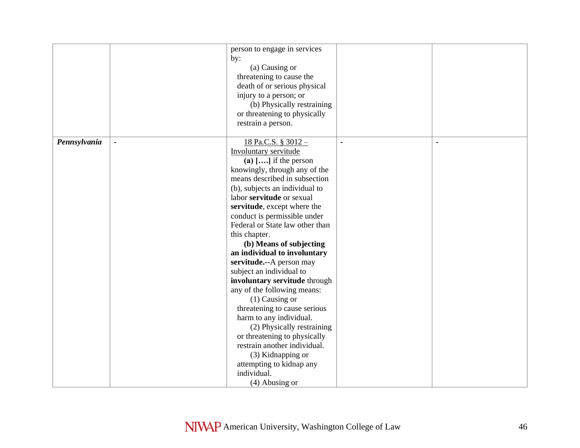|              |                | person to engage in services<br>by:<br>(a) Causing or<br>threatening to cause the<br>death of or serious physical<br>injury to a person; or<br>(b) Physically restraining<br>or threatening to physically<br>restrain a person.                                                                                                                                                                                                                                                                                                                                                                                                                                                                                                                            |                |                |
|--------------|----------------|------------------------------------------------------------------------------------------------------------------------------------------------------------------------------------------------------------------------------------------------------------------------------------------------------------------------------------------------------------------------------------------------------------------------------------------------------------------------------------------------------------------------------------------------------------------------------------------------------------------------------------------------------------------------------------------------------------------------------------------------------------|----------------|----------------|
|              |                |                                                                                                                                                                                                                                                                                                                                                                                                                                                                                                                                                                                                                                                                                                                                                            |                |                |
| Pennsylvania | $\blacksquare$ | 18 Pa.C.S. § 3012 -<br>Involuntary servitude<br>(a) $[]$ if the person<br>knowingly, through any of the<br>means described in subsection<br>(b), subjects an individual to<br>labor servitude or sexual<br>servitude, except where the<br>conduct is permissible under<br>Federal or State law other than<br>this chapter.<br>(b) Means of subjecting<br>an individual to involuntary<br>servitude.--A person may<br>subject an individual to<br>involuntary servitude through<br>any of the following means:<br>$(1)$ Causing or<br>threatening to cause serious<br>harm to any individual.<br>(2) Physically restraining<br>or threatening to physically<br>restrain another individual.<br>(3) Kidnapping or<br>attempting to kidnap any<br>individual. | $\blacksquare$ | $\blacksquare$ |
|              |                | $(4)$ Abusing or                                                                                                                                                                                                                                                                                                                                                                                                                                                                                                                                                                                                                                                                                                                                           |                |                |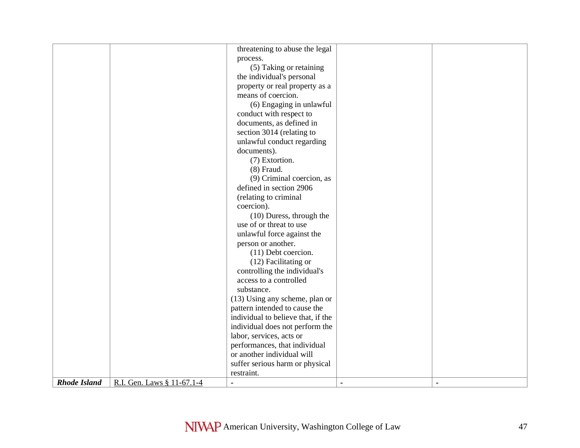|                     |                            | threatening to abuse the legal     |                |                |
|---------------------|----------------------------|------------------------------------|----------------|----------------|
|                     |                            | process.                           |                |                |
|                     |                            | (5) Taking or retaining            |                |                |
|                     |                            | the individual's personal          |                |                |
|                     |                            | property or real property as a     |                |                |
|                     |                            | means of coercion.                 |                |                |
|                     |                            | (6) Engaging in unlawful           |                |                |
|                     |                            | conduct with respect to            |                |                |
|                     |                            | documents, as defined in           |                |                |
|                     |                            | section 3014 (relating to          |                |                |
|                     |                            | unlawful conduct regarding         |                |                |
|                     |                            | documents).                        |                |                |
|                     |                            | (7) Extortion.                     |                |                |
|                     |                            | $(8)$ Fraud.                       |                |                |
|                     |                            | (9) Criminal coercion, as          |                |                |
|                     |                            | defined in section 2906            |                |                |
|                     |                            | (relating to criminal              |                |                |
|                     |                            | coercion).                         |                |                |
|                     |                            | (10) Duress, through the           |                |                |
|                     |                            | use of or threat to use            |                |                |
|                     |                            | unlawful force against the         |                |                |
|                     |                            | person or another.                 |                |                |
|                     |                            | (11) Debt coercion.                |                |                |
|                     |                            | (12) Facilitating or               |                |                |
|                     |                            | controlling the individual's       |                |                |
|                     |                            | access to a controlled             |                |                |
|                     |                            | substance.                         |                |                |
|                     |                            | (13) Using any scheme, plan or     |                |                |
|                     |                            | pattern intended to cause the      |                |                |
|                     |                            | individual to believe that, if the |                |                |
|                     |                            | individual does not perform the    |                |                |
|                     |                            | labor, services, acts or           |                |                |
|                     |                            | performances, that individual      |                |                |
|                     |                            | or another individual will         |                |                |
|                     |                            | suffer serious harm or physical    |                |                |
|                     |                            | restraint.                         |                |                |
| <b>Rhode Island</b> | R.I. Gen. Laws § 11-67.1-4 | $\mathbf{r}$                       | $\blacksquare$ | $\blacksquare$ |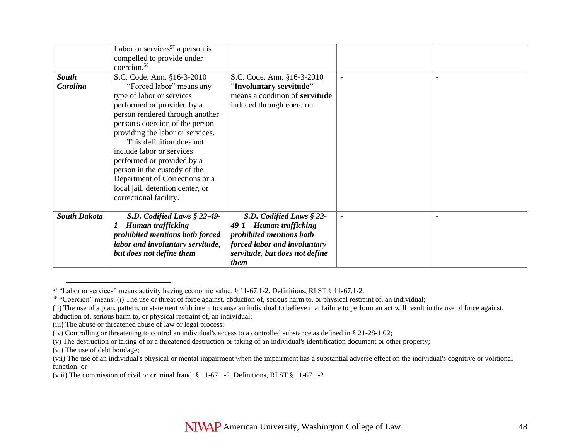|                     | Labor or services <sup>57</sup> a person is |                                |  |
|---------------------|---------------------------------------------|--------------------------------|--|
|                     | compelled to provide under                  |                                |  |
|                     | coercion. <sup>58</sup>                     |                                |  |
| <b>South</b>        | S.C. Code. Ann. §16-3-2010                  | S.C. Code. Ann. §16-3-2010     |  |
| <b>Carolina</b>     | "Forced labor" means any                    | "Involuntary servitude"        |  |
|                     | type of labor or services                   | means a condition of servitude |  |
|                     | performed or provided by a                  | induced through coercion.      |  |
|                     | person rendered through another             |                                |  |
|                     | person's coercion of the person             |                                |  |
|                     | providing the labor or services.            |                                |  |
|                     | This definition does not                    |                                |  |
|                     | include labor or services                   |                                |  |
|                     | performed or provided by a                  |                                |  |
|                     | person in the custody of the                |                                |  |
|                     | Department of Corrections or a              |                                |  |
|                     | local jail, detention center, or            |                                |  |
|                     | correctional facility.                      |                                |  |
|                     |                                             |                                |  |
| <b>South Dakota</b> | S.D. Codified Laws $§$ 22-49-               | S.D. Codified Laws § 22-       |  |
|                     | $1 - H$ uman trafficking                    | 49-1 – Human trafficking       |  |
|                     | prohibited mentions both forced             | prohibited mentions both       |  |
|                     | labor and involuntary servitude,            | forced labor and involuntary   |  |
|                     | but does not define them                    | servitude, but does not define |  |
|                     |                                             | them                           |  |

<sup>57</sup> "Labor or services" means activity having economic value. § 11-67.1-2. Definitions, RI ST § 11-67.1-2.

<sup>&</sup>lt;sup>58</sup> "Coercion" means: (i) The use or threat of force against, abduction of, serious harm to, or physical restraint of, an individual;

<sup>(</sup>ii) The use of a plan, pattern, or statement with intent to cause an individual to believe that failure to perform an act will result in the use of force against,

abduction of, serious harm to, or physical restraint of, an individual;

<sup>(</sup>iii) The abuse or threatened abuse of law or legal process;

<sup>(</sup>iv) Controlling or threatening to control an individual's access to a controlled substance as defined in § 21-28-1.02;

<sup>(</sup>v) The destruction or taking of or a threatened destruction or taking of an individual's identification document or other property;

<sup>(</sup>vi) The use of debt bondage;

<sup>(</sup>vii) The use of an individual's physical or mental impairment when the impairment has a substantial adverse effect on the individual's cognitive or volitional function; or

<sup>(</sup>viii) The commission of civil or criminal fraud. § 11-67.1-2. Definitions, RI ST § 11-67.1-2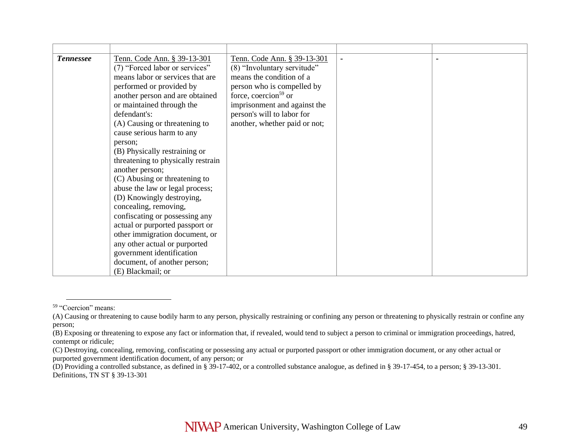| <b>Tennessee</b><br>Tenn. Code Ann. § 39-13-301<br>Tenn. Code Ann. § 39-13-301<br>(7) "Forced labor or services"<br>(8) "Involuntary servitude"<br>means the condition of a<br>means labor or services that are<br>person who is compelled by<br>performed or provided by<br>force, coercion <sup>59</sup> or<br>another person and are obtained<br>or maintained through the<br>imprisonment and against the<br>defendant's:<br>person's will to labor for<br>(A) Causing or threatening to<br>another, whether paid or not;<br>cause serious harm to any<br>person;<br>(B) Physically restraining or<br>threatening to physically restrain<br>another person;<br>(C) Abusing or threatening to<br>abuse the law or legal process;<br>(D) Knowingly destroying,<br>concealing, removing,<br>confiscating or possessing any<br>actual or purported passport or<br>other immigration document, or<br>any other actual or purported<br>government identification<br>document, of another person;<br>(E) Blackmail; or |  |
|---------------------------------------------------------------------------------------------------------------------------------------------------------------------------------------------------------------------------------------------------------------------------------------------------------------------------------------------------------------------------------------------------------------------------------------------------------------------------------------------------------------------------------------------------------------------------------------------------------------------------------------------------------------------------------------------------------------------------------------------------------------------------------------------------------------------------------------------------------------------------------------------------------------------------------------------------------------------------------------------------------------------|--|

<sup>59</sup> "Coercion" means:

<sup>(</sup>A) Causing or threatening to cause bodily harm to any person, physically restraining or confining any person or threatening to physically restrain or confine any person;

<sup>(</sup>B) Exposing or threatening to expose any fact or information that, if revealed, would tend to subject a person to criminal or immigration proceedings, hatred, contempt or ridicule;

<sup>(</sup>C) Destroying, concealing, removing, confiscating or possessing any actual or purported passport or other immigration document, or any other actual or purported government identification document, of any person; or

<sup>(</sup>D) Providing a controlled substance, as defined in § 39-17-402, or a controlled substance analogue, as defined in § 39-17-454, to a person; § 39-13-301. Definitions, TN ST § 39-13-301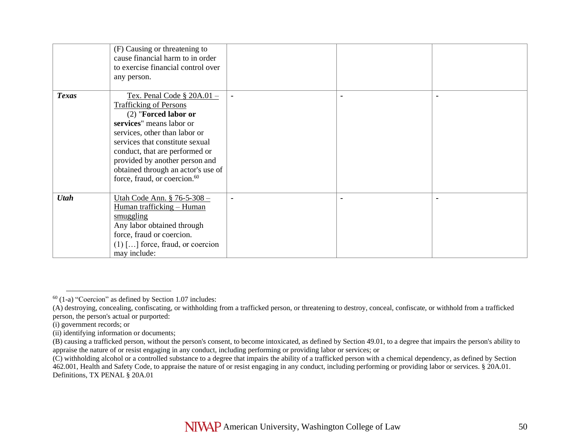|              | (F) Causing or threatening to<br>cause financial harm to in order<br>to exercise financial control over<br>any person.                                                                                                                                                                                                                         |                |                |
|--------------|------------------------------------------------------------------------------------------------------------------------------------------------------------------------------------------------------------------------------------------------------------------------------------------------------------------------------------------------|----------------|----------------|
| <b>Texas</b> | Tex. Penal Code $\S 20A.01 -$<br><b>Trafficking of Persons</b><br>$(2)$ "Forced labor or<br>services" means labor or<br>services, other than labor or<br>services that constitute sexual<br>conduct, that are performed or<br>provided by another person and<br>obtained through an actor's use of<br>force, fraud, or coercion. <sup>60</sup> | $\blacksquare$ | $\blacksquare$ |
| <b>Utah</b>  | Utah Code Ann. § 76-5-308 -<br>Human trafficking - Human<br>smuggling<br>Any labor obtained through<br>force, fraud or coercion.<br>$(1)$ [] force, fraud, or coercion<br>may include:                                                                                                                                                         | ٠              | ٠              |

 $60$  (1-a) "Coercion" as defined by Section 1.07 includes:

<sup>(</sup>A) destroying, concealing, confiscating, or withholding from a trafficked person, or threatening to destroy, conceal, confiscate, or withhold from a trafficked person, the person's actual or purported:

<sup>(</sup>i) government records; or

<sup>(</sup>ii) identifying information or documents;

<sup>(</sup>B) causing a trafficked person, without the person's consent, to become intoxicated, as defined by Section 49.01, to a degree that impairs the person's ability to appraise the nature of or resist engaging in any conduct, including performing or providing labor or services; or

<sup>(</sup>C) withholding alcohol or a controlled substance to a degree that impairs the ability of a trafficked person with a chemical dependency, as defined by Section 462.001, Health and Safety Code, to appraise the nature of or resist engaging in any conduct, including performing or providing labor or services. § 20A.01. Definitions, TX PENAL § 20A.01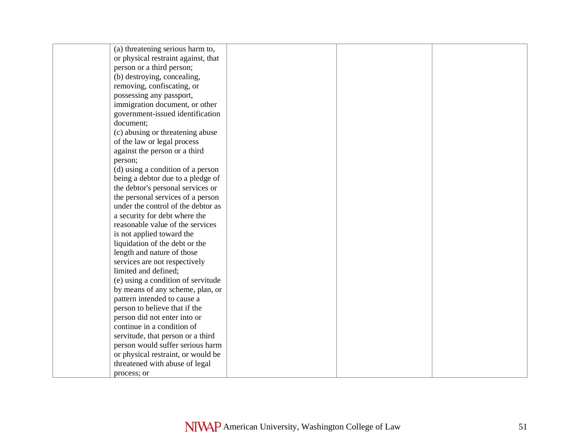| (a) threatening serious harm to,    |  |  |
|-------------------------------------|--|--|
| or physical restraint against, that |  |  |
| person or a third person;           |  |  |
| (b) destroying, concealing,         |  |  |
| removing, confiscating, or          |  |  |
| possessing any passport,            |  |  |
| immigration document, or other      |  |  |
| government-issued identification    |  |  |
| document;                           |  |  |
| (c) abusing or threatening abuse    |  |  |
| of the law or legal process         |  |  |
| against the person or a third       |  |  |
| person;                             |  |  |
| (d) using a condition of a person   |  |  |
| being a debtor due to a pledge of   |  |  |
| the debtor's personal services or   |  |  |
| the personal services of a person   |  |  |
| under the control of the debtor as  |  |  |
| a security for debt where the       |  |  |
| reasonable value of the services    |  |  |
| is not applied toward the           |  |  |
| liquidation of the debt or the      |  |  |
| length and nature of those          |  |  |
| services are not respectively       |  |  |
| limited and defined;                |  |  |
| (e) using a condition of servitude  |  |  |
| by means of any scheme, plan, or    |  |  |
| pattern intended to cause a         |  |  |
| person to believe that if the       |  |  |
| person did not enter into or        |  |  |
| continue in a condition of          |  |  |
| servitude, that person or a third   |  |  |
| person would suffer serious harm    |  |  |
| or physical restraint, or would be  |  |  |
| threatened with abuse of legal      |  |  |
| process; or                         |  |  |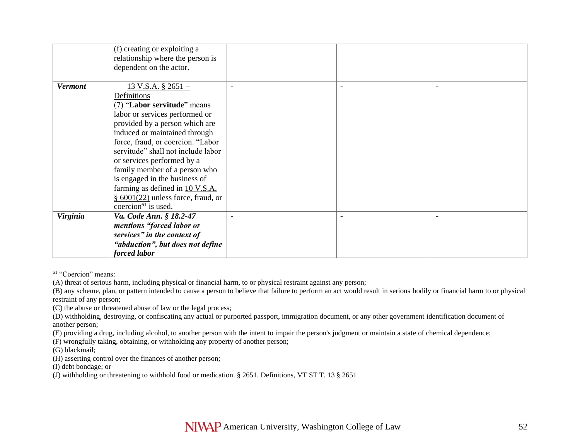|                | (f) creating or exploiting a<br>relationship where the person is<br>dependent on the actor. |                |   |
|----------------|---------------------------------------------------------------------------------------------|----------------|---|
| <b>Vermont</b> | $13$ V.S.A. § 2651 –                                                                        | ٠              | ٠ |
|                | Definitions<br>(7) "Labor servitude" means                                                  |                |   |
|                | labor or services performed or<br>provided by a person which are                            |                |   |
|                | induced or maintained through<br>force, fraud, or coercion. "Labor                          |                |   |
|                | servitude" shall not include labor                                                          |                |   |
|                | or services performed by a<br>family member of a person who                                 |                |   |
|                | is engaged in the business of<br>farming as defined in 10 V.S.A.                            |                |   |
|                | $§ 6001(22)$ unless force, fraud, or<br>coercion <sup>61</sup> is used.                     |                |   |
| Virginia       | Va. Code Ann. § 18.2-47                                                                     | $\blacksquare$ | ۰ |
|                | mentions "forced labor or                                                                   |                |   |
|                | services" in the context of                                                                 |                |   |
|                | "abduction", but does not define                                                            |                |   |
|                | forced labor                                                                                |                |   |

<sup>61</sup> "Coercion" means:

(A) threat of serious harm, including physical or financial harm, to or physical restraint against any person;

(B) any scheme, plan, or pattern intended to cause a person to believe that failure to perform an act would result in serious bodily or financial harm to or physical restraint of any person;

(C) the abuse or threatened abuse of law or the legal process;

(D) withholding, destroying, or confiscating any actual or purported passport, immigration document, or any other government identification document of another person;

(E) providing a drug, including alcohol, to another person with the intent to impair the person's judgment or maintain a state of chemical dependence;

(F) wrongfully taking, obtaining, or withholding any property of another person;

(G) blackmail;

(H) asserting control over the finances of another person;

(I) debt bondage; or

(J) withholding or threatening to withhold food or medication. § 2651. Definitions, VT ST T. 13 § 2651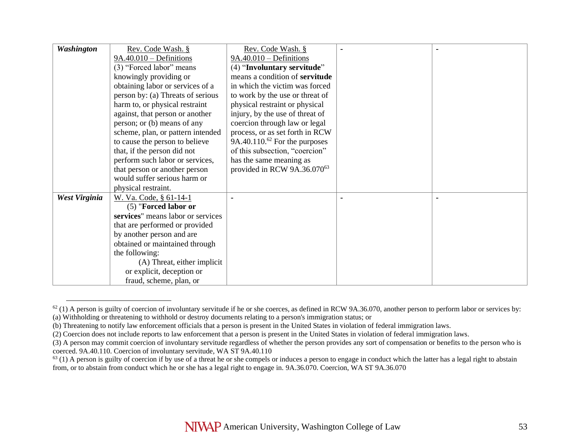| Washington           | Rev. Code Wash. §                 | Rev. Code Wash. §                       |  |
|----------------------|-----------------------------------|-----------------------------------------|--|
|                      | $9A.40.010 - Definitions$         | $9A.40.010 -$ Definitions               |  |
|                      | (3) "Forced labor" means          | (4) "Involuntary servitude"             |  |
|                      | knowingly providing or            | means a condition of servitude          |  |
|                      | obtaining labor or services of a  | in which the victim was forced          |  |
|                      | person by: (a) Threats of serious | to work by the use or threat of         |  |
|                      | harm to, or physical restraint    | physical restraint or physical          |  |
|                      | against, that person or another   | injury, by the use of threat of         |  |
|                      | person; or (b) means of any       | coercion through law or legal           |  |
|                      | scheme, plan, or pattern intended | process, or as set forth in RCW         |  |
|                      | to cause the person to believe    | $9A.40.110.62$ For the purposes         |  |
|                      | that, if the person did not       | of this subsection, "coercion"          |  |
|                      | perform such labor or services,   | has the same meaning as                 |  |
|                      | that person or another person     | provided in RCW 9A.36.070 <sup>63</sup> |  |
|                      | would suffer serious harm or      |                                         |  |
|                      | physical restraint.               |                                         |  |
| <b>West Virginia</b> | W. Va. Code, § 61-14-1            |                                         |  |
|                      | $(5)$ "Forced labor or            |                                         |  |
|                      | services" means labor or services |                                         |  |
|                      | that are performed or provided    |                                         |  |
|                      | by another person and are         |                                         |  |
|                      | obtained or maintained through    |                                         |  |
|                      | the following:                    |                                         |  |
|                      | (A) Threat, either implicit       |                                         |  |
|                      | or explicit, deception or         |                                         |  |
|                      | fraud, scheme, plan, or           |                                         |  |

 $62$  (1) A person is guilty of coercion of involuntary servitude if he or she coerces, as defined in RCW 9A.36.070, another person to perform labor or services by: (a) Withholding or threatening to withhold or destroy documents relating to a person's immigration status; or

<sup>(</sup>b) Threatening to notify law enforcement officials that a person is present in the United States in violation of federal immigration laws.

<sup>(2)</sup> Coercion does not include reports to law enforcement that a person is present in the United States in violation of federal immigration laws.

<sup>(3)</sup> A person may commit coercion of involuntary servitude regardless of whether the person provides any sort of compensation or benefits to the person who is coerced. 9A.40.110. Coercion of involuntary servitude, WA ST 9A.40.110

 $63$  (1) A person is guilty of coercion if by use of a threat he or she compels or induces a person to engage in conduct which the latter has a legal right to abstain from, or to abstain from conduct which he or she has a legal right to engage in. 9A.36.070. Coercion, WA ST 9A.36.070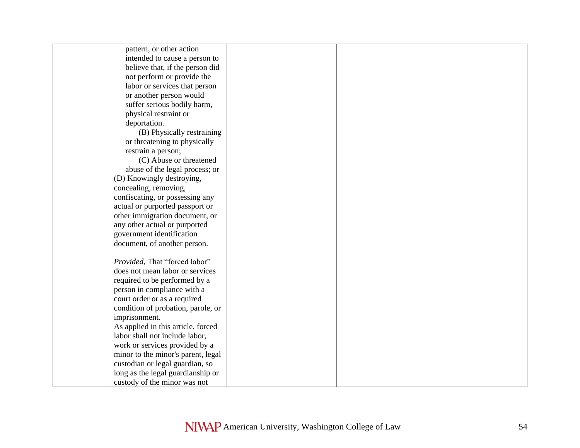| pattern, or other action           |  |  |
|------------------------------------|--|--|
| intended to cause a person to      |  |  |
| believe that, if the person did    |  |  |
| not perform or provide the         |  |  |
| labor or services that person      |  |  |
| or another person would            |  |  |
| suffer serious bodily harm,        |  |  |
| physical restraint or              |  |  |
| deportation.                       |  |  |
| (B) Physically restraining         |  |  |
| or threatening to physically       |  |  |
| restrain a person;                 |  |  |
| (C) Abuse or threatened            |  |  |
| abuse of the legal process; or     |  |  |
| (D) Knowingly destroying,          |  |  |
| concealing, removing,              |  |  |
| confiscating, or possessing any    |  |  |
| actual or purported passport or    |  |  |
| other immigration document, or     |  |  |
| any other actual or purported      |  |  |
| government identification          |  |  |
| document, of another person.       |  |  |
|                                    |  |  |
| Provided, That "forced labor"      |  |  |
| does not mean labor or services    |  |  |
| required to be performed by a      |  |  |
| person in compliance with a        |  |  |
| court order or as a required       |  |  |
| condition of probation, parole, or |  |  |
| imprisonment.                      |  |  |
| As applied in this article, forced |  |  |
| labor shall not include labor,     |  |  |
| work or services provided by a     |  |  |
| minor to the minor's parent, legal |  |  |
| custodian or legal guardian, so    |  |  |
| long as the legal guardianship or  |  |  |
| custody of the minor was not       |  |  |
|                                    |  |  |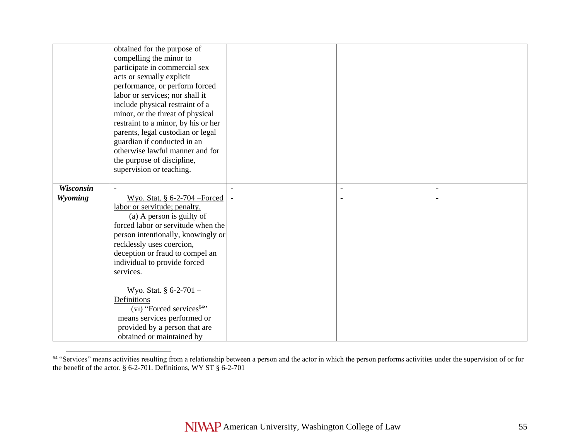| obtained for the purpose of<br>compelling the minor to<br>participate in commercial sex<br>acts or sexually explicit<br>performance, or perform forced<br>labor or services; nor shall it<br>include physical restraint of a<br>minor, or the threat of physical<br>restraint to a minor, by his or her<br>parents, legal custodian or legal<br>guardian if conducted in an<br>otherwise lawful manner and for<br>the purpose of discipline,<br>supervision or teaching. |                           |                                    |                |
|--------------------------------------------------------------------------------------------------------------------------------------------------------------------------------------------------------------------------------------------------------------------------------------------------------------------------------------------------------------------------------------------------------------------------------------------------------------------------|---------------------------|------------------------------------|----------------|
| $\blacksquare$                                                                                                                                                                                                                                                                                                                                                                                                                                                           | $\blacksquare$            | $\blacksquare$                     | $\blacksquare$ |
| Wyo. Stat. $§ 6-2-704$ –Forced<br>labor or servitude; penalty.<br>(a) A person is guilty of<br>forced labor or servitude when the<br>recklessly uses coercion,<br>deception or fraud to compel an<br>individual to provide forced<br>services.<br>Wyo. Stat. § 6-2-701 –<br>Definitions<br>(vi) "Forced services <sup>64</sup> "<br>means services performed or<br>provided by a person that are                                                                         |                           |                                    |                |
|                                                                                                                                                                                                                                                                                                                                                                                                                                                                          | obtained or maintained by | person intentionally, knowingly or |                |

<sup>&</sup>lt;sup>64</sup> "Services" means activities resulting from a relationship between a person and the actor in which the person performs activities under the supervision of or for the benefit of the actor. § 6-2-701. Definitions, WY ST § 6-2-701